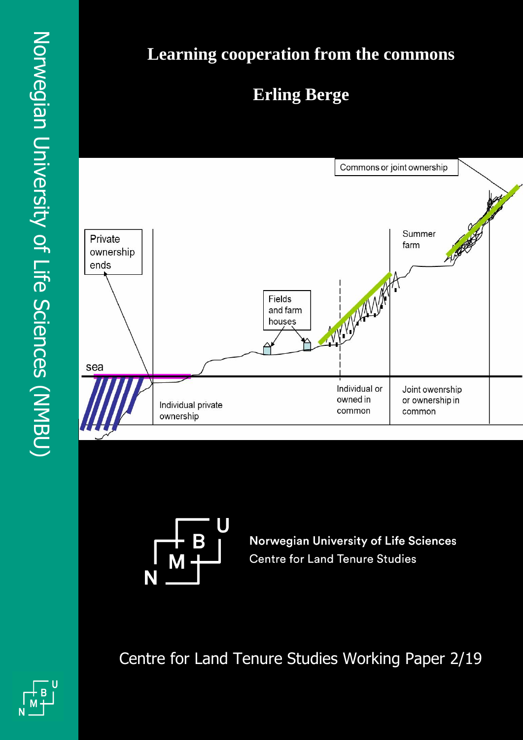## **Learning cooperation from the commons**

### **Erling Berge**





**Norwegian University of Life Sciences Centre for Land Tenure Studies** 

Centre for Land Tenure Studies Working Paper 2/19



Dag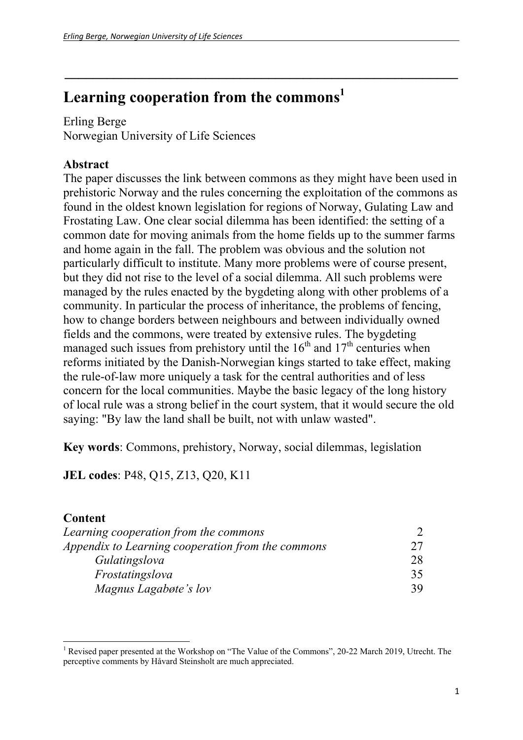### **Learning cooperation from the commons1**

Erling Berge Norwegian University of Life Sciences

#### **Abstract**

The paper discusses the link between commons as they might have been used in prehistoric Norway and the rules concerning the exploitation of the commons as found in the oldest known legislation for regions of Norway, Gulating Law and Frostating Law. One clear social dilemma has been identified: the setting of a common date for moving animals from the home fields up to the summer farms and home again in the fall. The problem was obvious and the solution not particularly difficult to institute. Many more problems were of course present, but they did not rise to the level of a social dilemma. All such problems were managed by the rules enacted by the bygdeting along with other problems of a community. In particular the process of inheritance, the problems of fencing, how to change borders between neighbours and between individually owned fields and the commons, were treated by extensive rules. The bygdeting managed such issues from prehistory until the  $16<sup>th</sup>$  and  $17<sup>th</sup>$  centuries when reforms initiated by the Danish-Norwegian kings started to take effect, making the rule-of-law more uniquely a task for the central authorities and of less concern for the local communities. Maybe the basic legacy of the long history of local rule was a strong belief in the court system, that it would secure the old saying: "By law the land shall be built, not with unlaw wasted".

**\_\_\_\_\_\_\_\_\_\_\_\_\_\_\_\_\_\_\_\_\_\_\_\_\_\_\_\_\_\_\_\_\_\_\_\_\_\_\_\_\_\_\_\_\_\_\_\_\_\_\_\_\_\_\_\_** 

**Key words**: Commons, prehistory, Norway, social dilemmas, legislation

**JEL codes**: P48, Q15, Z13, Q20, K11

#### **Content**

| Learning cooperation from the commons             |    |
|---------------------------------------------------|----|
| Appendix to Learning cooperation from the commons |    |
| Gulatingslova                                     | 28 |
| Frostatingslova                                   | 35 |
| Magnus Lagabøte's lov                             | 39 |

<sup>&</sup>lt;sup>1</sup> Revised paper presented at the Workshop on "The Value of the Commons", 20-22 March 2019, Utrecht. The perceptive comments by Håvard Steinsholt are much appreciated.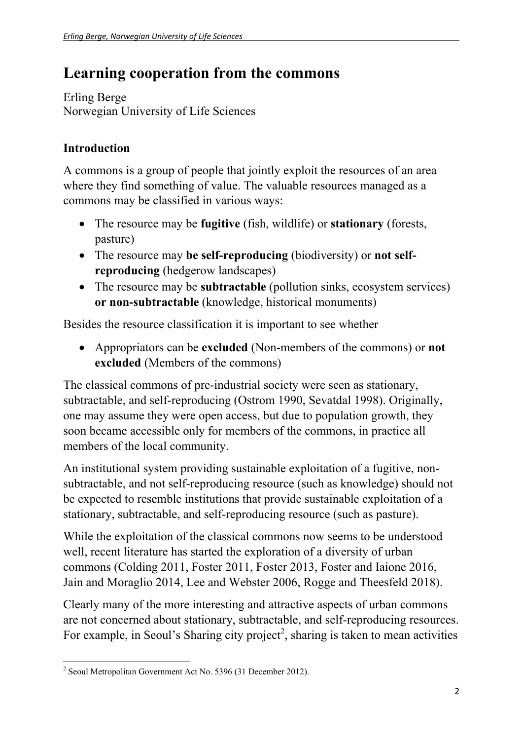### **Learning cooperation from the commons**

Erling Berge Norwegian University of Life Sciences

### **Introduction**

A commons is a group of people that jointly exploit the resources of an area where they find something of value. The valuable resources managed as a commons may be classified in various ways:

- The resource may be **fugitive** (fish, wildlife) or **stationary** (forests, pasture)
- The resource may **be self-reproducing** (biodiversity) or **not selfreproducing** (hedgerow landscapes)
- The resource may be **subtractable** (pollution sinks, ecosystem services) **or non-subtractable** (knowledge, historical monuments)

Besides the resource classification it is important to see whether

 Appropriators can be **excluded** (Non-members of the commons) or **not excluded** (Members of the commons)

The classical commons of pre-industrial society were seen as stationary, subtractable, and self-reproducing (Ostrom 1990, Sevatdal 1998). Originally, one may assume they were open access, but due to population growth, they soon became accessible only for members of the commons, in practice all members of the local community.

An institutional system providing sustainable exploitation of a fugitive, nonsubtractable, and not self-reproducing resource (such as knowledge) should not be expected to resemble institutions that provide sustainable exploitation of a stationary, subtractable, and self-reproducing resource (such as pasture).

While the exploitation of the classical commons now seems to be understood well, recent literature has started the exploration of a diversity of urban commons (Colding 2011, Foster 2011, Foster 2013, Foster and Iaione 2016, Jain and Moraglio 2014, Lee and Webster 2006, Rogge and Theesfeld 2018).

Clearly many of the more interesting and attractive aspects of urban commons are not concerned about stationary, subtractable, and self-reproducing resources. For example, in Seoul's Sharing city project<sup>2</sup>, sharing is taken to mean activities

 2 Seoul Metropolitan Government Act No. 5396 (31 December 2012).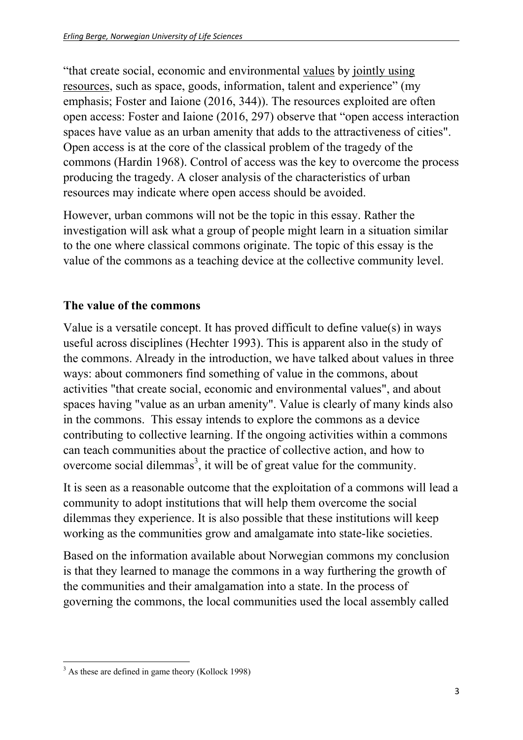"that create social, economic and environmental values by jointly using resources, such as space, goods, information, talent and experience" (my emphasis; Foster and Iaione (2016, 344)). The resources exploited are often open access: Foster and Iaione (2016, 297) observe that "open access interaction spaces have value as an urban amenity that adds to the attractiveness of cities". Open access is at the core of the classical problem of the tragedy of the commons (Hardin 1968). Control of access was the key to overcome the process producing the tragedy. A closer analysis of the characteristics of urban resources may indicate where open access should be avoided.

However, urban commons will not be the topic in this essay. Rather the investigation will ask what a group of people might learn in a situation similar to the one where classical commons originate. The topic of this essay is the value of the commons as a teaching device at the collective community level.

#### **The value of the commons**

Value is a versatile concept. It has proved difficult to define value(s) in ways useful across disciplines (Hechter 1993). This is apparent also in the study of the commons. Already in the introduction, we have talked about values in three ways: about commoners find something of value in the commons, about activities "that create social, economic and environmental values", and about spaces having "value as an urban amenity". Value is clearly of many kinds also in the commons. This essay intends to explore the commons as a device contributing to collective learning. If the ongoing activities within a commons can teach communities about the practice of collective action, and how to overcome social dilemmas<sup>3</sup>, it will be of great value for the community.

It is seen as a reasonable outcome that the exploitation of a commons will lead a community to adopt institutions that will help them overcome the social dilemmas they experience. It is also possible that these institutions will keep working as the communities grow and amalgamate into state-like societies.

Based on the information available about Norwegian commons my conclusion is that they learned to manage the commons in a way furthering the growth of the communities and their amalgamation into a state. In the process of governing the commons, the local communities used the local assembly called

 <sup>3</sup> As these are defined in game theory (Kollock 1998)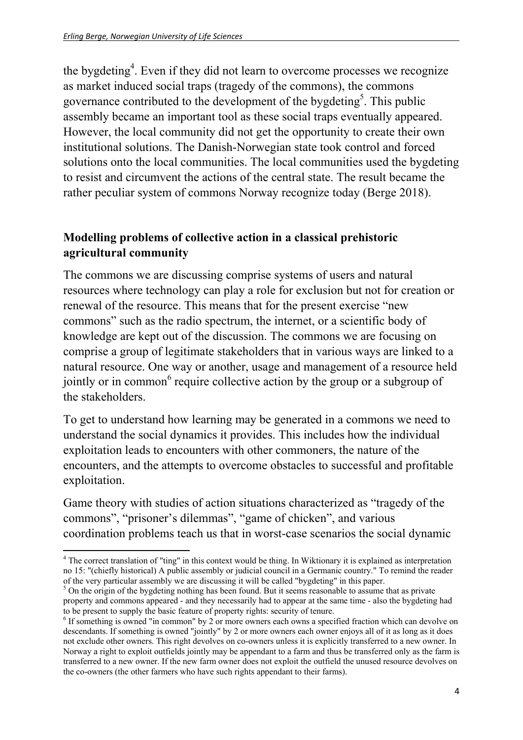the bygdeting<sup>4</sup>. Even if they did not learn to overcome processes we recognize as market induced social traps (tragedy of the commons), the commons governance contributed to the development of the bygdeting<sup>5</sup>. This public assembly became an important tool as these social traps eventually appeared. However, the local community did not get the opportunity to create their own institutional solutions. The Danish-Norwegian state took control and forced solutions onto the local communities. The local communities used the bygdeting to resist and circumvent the actions of the central state. The result became the rather peculiar system of commons Norway recognize today (Berge 2018).

#### **Modelling problems of collective action in a classical prehistoric agricultural community**

The commons we are discussing comprise systems of users and natural resources where technology can play a role for exclusion but not for creation or renewal of the resource. This means that for the present exercise "new commons" such as the radio spectrum, the internet, or a scientific body of knowledge are kept out of the discussion. The commons we are focusing on comprise a group of legitimate stakeholders that in various ways are linked to a natural resource. One way or another, usage and management of a resource held jointly or in common<sup>6</sup> require collective action by the group or a subgroup of the stakeholders.

To get to understand how learning may be generated in a commons we need to understand the social dynamics it provides. This includes how the individual exploitation leads to encounters with other commoners, the nature of the encounters, and the attempts to overcome obstacles to successful and profitable exploitation.

Game theory with studies of action situations characterized as "tragedy of the commons", "prisoner's dilemmas", "game of chicken", and various coordination problems teach us that in worst-case scenarios the social dynamic

 <sup>4</sup> The correct translation of "ting" in this context would be thing. In Wiktionary it is explained as interpretation no 15: "(chiefly historical) A public assembly or judicial council in a Germanic country." To remind the reader of the very particular assembly we are discussing it will be called "bygdeting" in this paper. 5

 $5$  On the origin of the bygdeting nothing has been found. But it seems reasonable to assume that as private property and commons appeared - and they necessarily had to appear at the same time - also the bygdeting had to be present to supply the basic feature of property rights: security of tenure.

<sup>&</sup>lt;sup>6</sup> If something is owned "in common" by 2 or more owners each owns a specified fraction which can devolve on descendants. If something is owned "jointly" by 2 or more owners each owner enjoys all of it as long as it does not exclude other owners. This right devolves on co-owners unless it is explicitly transferred to a new owner. In Norway a right to exploit outfields jointly may be appendant to a farm and thus be transferred only as the farm is transferred to a new owner. If the new farm owner does not exploit the outfield the unused resource devolves on the co-owners (the other farmers who have such rights appendant to their farms).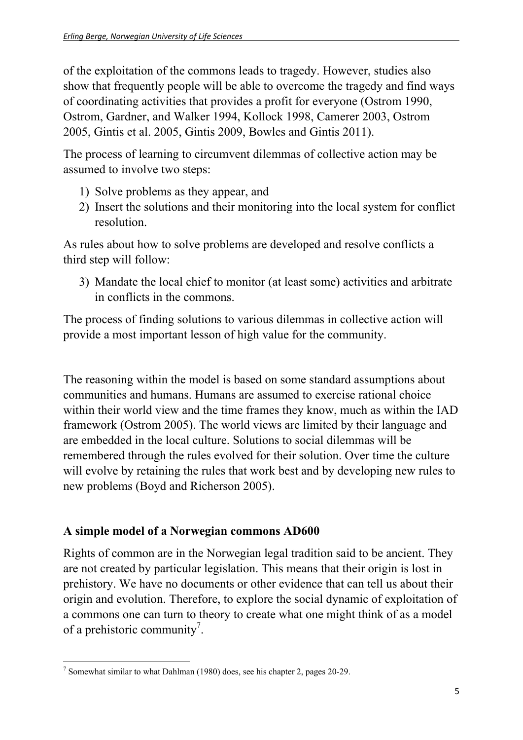of the exploitation of the commons leads to tragedy. However, studies also show that frequently people will be able to overcome the tragedy and find ways of coordinating activities that provides a profit for everyone (Ostrom 1990, Ostrom, Gardner, and Walker 1994, Kollock 1998, Camerer 2003, Ostrom 2005, Gintis et al. 2005, Gintis 2009, Bowles and Gintis 2011).

The process of learning to circumvent dilemmas of collective action may be assumed to involve two steps:

- 1) Solve problems as they appear, and
- 2) Insert the solutions and their monitoring into the local system for conflict resolution.

As rules about how to solve problems are developed and resolve conflicts a third step will follow:

3) Mandate the local chief to monitor (at least some) activities and arbitrate in conflicts in the commons.

The process of finding solutions to various dilemmas in collective action will provide a most important lesson of high value for the community.

The reasoning within the model is based on some standard assumptions about communities and humans. Humans are assumed to exercise rational choice within their world view and the time frames they know, much as within the IAD framework (Ostrom 2005). The world views are limited by their language and are embedded in the local culture. Solutions to social dilemmas will be remembered through the rules evolved for their solution. Over time the culture will evolve by retaining the rules that work best and by developing new rules to new problems (Boyd and Richerson 2005).

#### **A simple model of a Norwegian commons AD600**

Rights of common are in the Norwegian legal tradition said to be ancient. They are not created by particular legislation. This means that their origin is lost in prehistory. We have no documents or other evidence that can tell us about their origin and evolution. Therefore, to explore the social dynamic of exploitation of a commons one can turn to theory to create what one might think of as a model of a prehistoric community<sup>7</sup>.

<sup>&</sup>lt;sup>7</sup> Somewhat similar to what Dahlman (1980) does, see his chapter 2, pages 20-29.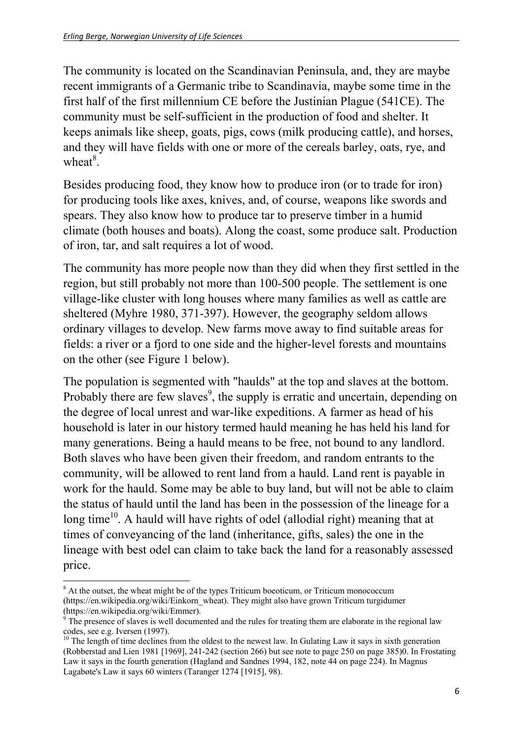The community is located on the Scandinavian Peninsula, and, they are maybe recent immigrants of a Germanic tribe to Scandinavia, maybe some time in the first half of the first millennium CE before the Justinian Plague (541CE). The community must be self-sufficient in the production of food and shelter. It keeps animals like sheep, goats, pigs, cows (milk producing cattle), and horses, and they will have fields with one or more of the cereals barley, oats, rye, and wheat $8$ .

Besides producing food, they know how to produce iron (or to trade for iron) for producing tools like axes, knives, and, of course, weapons like swords and spears. They also know how to produce tar to preserve timber in a humid climate (both houses and boats). Along the coast, some produce salt. Production of iron, tar, and salt requires a lot of wood.

The community has more people now than they did when they first settled in the region, but still probably not more than 100-500 people. The settlement is one village-like cluster with long houses where many families as well as cattle are sheltered (Myhre 1980, 371-397). However, the geography seldom allows ordinary villages to develop. New farms move away to find suitable areas for fields: a river or a fjord to one side and the higher-level forests and mountains on the other (see Figure 1 below).

The population is segmented with "haulds" at the top and slaves at the bottom. Probably there are few slaves<sup>9</sup>, the supply is erratic and uncertain, depending on the degree of local unrest and war-like expeditions. A farmer as head of his household is later in our history termed hauld meaning he has held his land for many generations. Being a hauld means to be free, not bound to any landlord. Both slaves who have been given their freedom, and random entrants to the community, will be allowed to rent land from a hauld. Land rent is payable in work for the hauld. Some may be able to buy land, but will not be able to claim the status of hauld until the land has been in the possession of the lineage for a long time<sup>10</sup>. A hauld will have rights of odel (allodial right) meaning that at times of conveyancing of the land (inheritance, gifts, sales) the one in the lineage with best odel can claim to take back the land for a reasonably assessed price.

 <sup>8</sup> At the outset, the wheat might be of the types Triticum boeoticum, or Triticum monococcum (https://en.wikipedia.org/wiki/Einkorn\_wheat). They might also have grown Triticum turgidumer (https://en.wikipedia.org/wiki/Emmer).

<sup>9</sup> The presence of slaves is well documented and the rules for treating them are elaborate in the regional law codes, see e.g. Iversen (1997).

<sup>&</sup>lt;sup>10</sup> The length of time declines from the oldest to the newest law. In Gulating Law it says in sixth generation (Robberstad and Lien 1981 [1969], 241-242 (section 266) but see note to page 250 on page 385)0. In Frostating Law it says in the fourth generation (Hagland and Sandnes 1994, 182, note 44 on page 224). In Magnus Lagabøte's Law it says 60 winters (Taranger 1274 [1915], 98).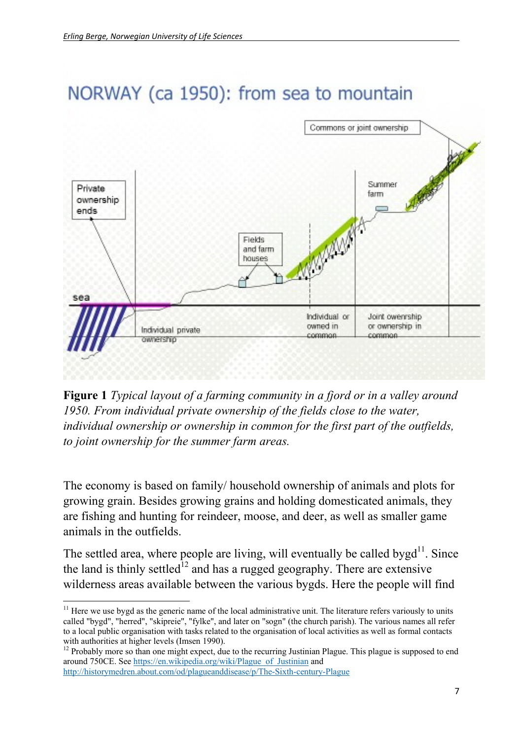

# NORWAY (ca 1950): from sea to mountain

**Figure 1** *Typical layout of a farming community in a fjord or in a valley around 1950. From individual private ownership of the fields close to the water, individual ownership or ownership in common for the first part of the outfields, to joint ownership for the summer farm areas.*

The economy is based on family/ household ownership of animals and plots for growing grain. Besides growing grains and holding domesticated animals, they are fishing and hunting for reindeer, moose, and deer, as well as smaller game animals in the outfields.

The settled area, where people are living, will eventually be called bygd<sup>11</sup>. Since the land is thinly settled<sup>12</sup> and has a rugged geography. There are extensive wilderness areas available between the various bygds. Here the people will find

  $11$  Here we use bygd as the generic name of the local administrative unit. The literature refers variously to units called "bygd", "herred", "skipreie", "fylke", and later on "sogn" (the church parish). The various names all refer to a local public organisation with tasks related to the organisation of local activities as well as formal contacts with authorities at higher levels (Imsen 1990).<br><sup>12</sup> Probably more so than one might expect, due to the recurring Justinian Plague. This plague is supposed to end

around 750CE. See https://en.wikipedia.org/wiki/Plague\_of\_Justinian and http://historymedren.about.com/od/plagueanddisease/p/The-Sixth-century-Plague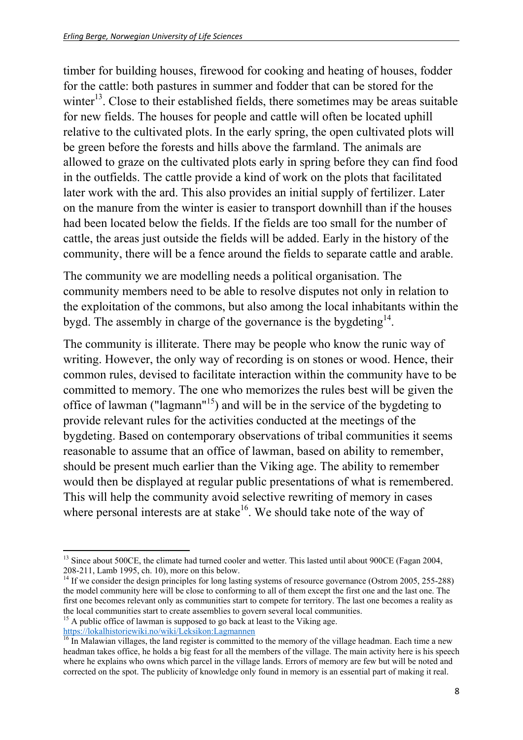timber for building houses, firewood for cooking and heating of houses, fodder for the cattle: both pastures in summer and fodder that can be stored for the winter<sup>13</sup>. Close to their established fields, there sometimes may be areas suitable for new fields. The houses for people and cattle will often be located uphill relative to the cultivated plots. In the early spring, the open cultivated plots will be green before the forests and hills above the farmland. The animals are allowed to graze on the cultivated plots early in spring before they can find food in the outfields. The cattle provide a kind of work on the plots that facilitated later work with the ard. This also provides an initial supply of fertilizer. Later on the manure from the winter is easier to transport downhill than if the houses had been located below the fields. If the fields are too small for the number of cattle, the areas just outside the fields will be added. Early in the history of the community, there will be a fence around the fields to separate cattle and arable.

The community we are modelling needs a political organisation. The community members need to be able to resolve disputes not only in relation to the exploitation of the commons, but also among the local inhabitants within the bygd. The assembly in charge of the governance is the bygdeting  $14$ .

The community is illiterate. There may be people who know the runic way of writing. However, the only way of recording is on stones or wood. Hence, their common rules, devised to facilitate interaction within the community have to be committed to memory. The one who memorizes the rules best will be given the office of lawman ("lagmann"15) and will be in the service of the bygdeting to provide relevant rules for the activities conducted at the meetings of the bygdeting. Based on contemporary observations of tribal communities it seems reasonable to assume that an office of lawman, based on ability to remember, should be present much earlier than the Viking age. The ability to remember would then be displayed at regular public presentations of what is remembered. This will help the community avoid selective rewriting of memory in cases where personal interests are at stake<sup>16</sup>. We should take note of the way of

 <sup>13</sup> Since about 500CE, the climate had turned cooler and wetter. This lasted until about 900CE (Fagan 2004, 208-211, Lamb 1995, ch. 10), more on this below.

<sup>&</sup>lt;sup>14</sup> If we consider the design principles for long lasting systems of resource governance (Ostrom 2005, 255-288) the model community here will be close to conforming to all of them except the first one and the last one. The first one becomes relevant only as communities start to compete for territory. The last one becomes a reality as the local communities start to create assemblies to govern several local communities.

<sup>&</sup>lt;sup>15</sup> A public office of lawman is supposed to go back at least to the Viking age.<br>https://lokalhistoriewiki.no/wiki/Leksikon:Lagmannen

 $\frac{16}{16}$  In Malawian villages, the land register is committed to the memory of the village headman. Each time a new headman takes office, he holds a big feast for all the members of the village. The main activity here is his speech where he explains who owns which parcel in the village lands. Errors of memory are few but will be noted and corrected on the spot. The publicity of knowledge only found in memory is an essential part of making it real.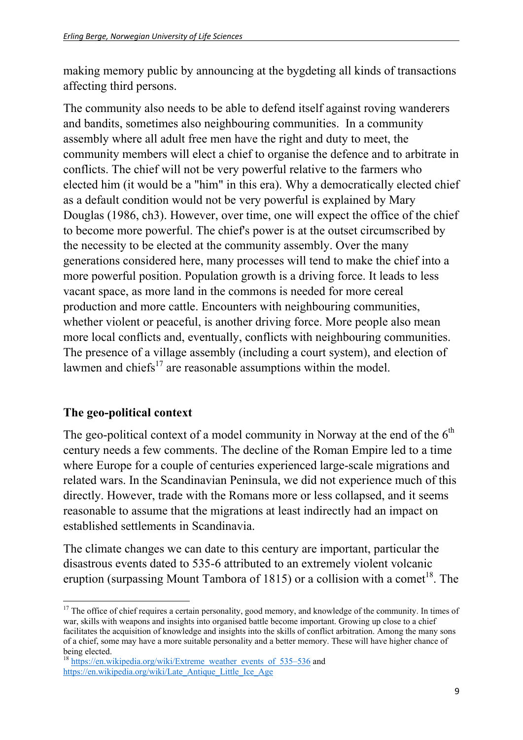making memory public by announcing at the bygdeting all kinds of transactions affecting third persons.

The community also needs to be able to defend itself against roving wanderers and bandits, sometimes also neighbouring communities. In a community assembly where all adult free men have the right and duty to meet, the community members will elect a chief to organise the defence and to arbitrate in conflicts. The chief will not be very powerful relative to the farmers who elected him (it would be a "him" in this era). Why a democratically elected chief as a default condition would not be very powerful is explained by Mary Douglas (1986, ch3). However, over time, one will expect the office of the chief to become more powerful. The chief's power is at the outset circumscribed by the necessity to be elected at the community assembly. Over the many generations considered here, many processes will tend to make the chief into a more powerful position. Population growth is a driving force. It leads to less vacant space, as more land in the commons is needed for more cereal production and more cattle. Encounters with neighbouring communities, whether violent or peaceful, is another driving force. More people also mean more local conflicts and, eventually, conflicts with neighbouring communities. The presence of a village assembly (including a court system), and election of lawmen and chiefs $17$  are reasonable assumptions within the model.

#### **The geo-political context**

The geo-political context of a model community in Norway at the end of the  $6<sup>th</sup>$ century needs a few comments. The decline of the Roman Empire led to a time where Europe for a couple of centuries experienced large-scale migrations and related wars. In the Scandinavian Peninsula, we did not experience much of this directly. However, trade with the Romans more or less collapsed, and it seems reasonable to assume that the migrations at least indirectly had an impact on established settlements in Scandinavia.

The climate changes we can date to this century are important, particular the disastrous events dated to 535-6 attributed to an extremely violent volcanic eruption (surpassing Mount Tambora of 1815) or a collision with a comet<sup>18</sup>. The

 <sup>17</sup> The office of chief requires a certain personality, good memory, and knowledge of the community. In times of war, skills with weapons and insights into organised battle become important. Growing up close to a chief facilitates the acquisition of knowledge and insights into the skills of conflict arbitration. Among the many sons of a chief, some may have a more suitable personality and a better memory. These will have higher chance of being elected.

<sup>&</sup>lt;sup>18</sup> https://en.wikipedia.org/wiki/Extreme\_weather\_events\_of\_535–536 and https://en.wikipedia.org/wiki/Late\_Antique\_Little\_Ice\_Age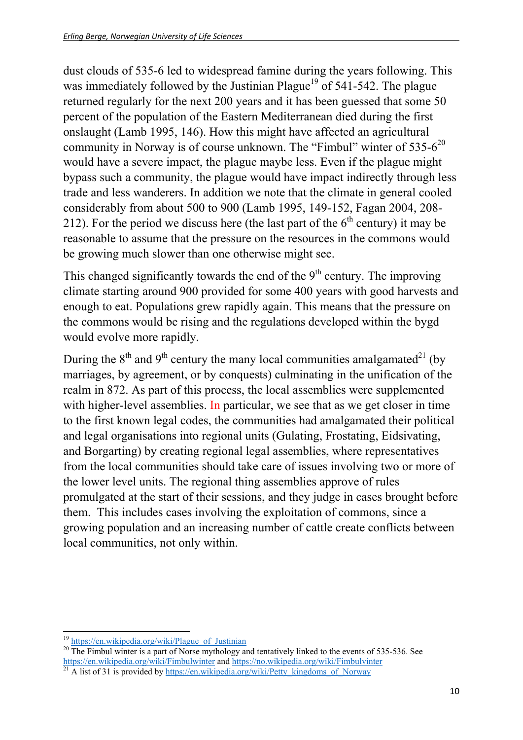dust clouds of 535-6 led to widespread famine during the years following. This was immediately followed by the Justinian Plague<sup>19</sup> of 541-542. The plague returned regularly for the next 200 years and it has been guessed that some 50 percent of the population of the Eastern Mediterranean died during the first onslaught (Lamb 1995, 146). How this might have affected an agricultural community in Norway is of course unknown. The "Fimbul" winter of  $535-6^{20}$ would have a severe impact, the plague maybe less. Even if the plague might bypass such a community, the plague would have impact indirectly through less trade and less wanderers. In addition we note that the climate in general cooled considerably from about 500 to 900 (Lamb 1995, 149-152, Fagan 2004, 208- 212). For the period we discuss here (the last part of the  $6<sup>th</sup>$  century) it may be reasonable to assume that the pressure on the resources in the commons would be growing much slower than one otherwise might see.

This changed significantly towards the end of the  $9<sup>th</sup>$  century. The improving climate starting around 900 provided for some 400 years with good harvests and enough to eat. Populations grew rapidly again. This means that the pressure on the commons would be rising and the regulations developed within the bygd would evolve more rapidly.

During the  $8<sup>th</sup>$  and  $9<sup>th</sup>$  century the many local communities amalgamated<sup>21</sup> (by marriages, by agreement, or by conquests) culminating in the unification of the realm in 872. As part of this process, the local assemblies were supplemented with higher-level assemblies. In particular, we see that as we get closer in time to the first known legal codes, the communities had amalgamated their political and legal organisations into regional units (Gulating, Frostating, Eidsivating, and Borgarting) by creating regional legal assemblies, where representatives from the local communities should take care of issues involving two or more of the lower level units. The regional thing assemblies approve of rules promulgated at the start of their sessions, and they judge in cases brought before them. This includes cases involving the exploitation of commons, since a growing population and an increasing number of cattle create conflicts between local communities, not only within.

 $19$  https://en.wikipedia.org/wiki/Plague of Justinian

<sup>&</sup>lt;sup>20</sup> The Fimbul winter is a part of Norse mythology and tentatively linked to the events of 535-536. See https://en.wikipedia.org/wiki/Fimbulwinter and https://no.wikipedia.org/wiki/Fimbulvinter <sup>21</sup> A list of 31 is provided by https://en.wikipedia.org/wiki/Petty\_kingdoms\_of\_Norway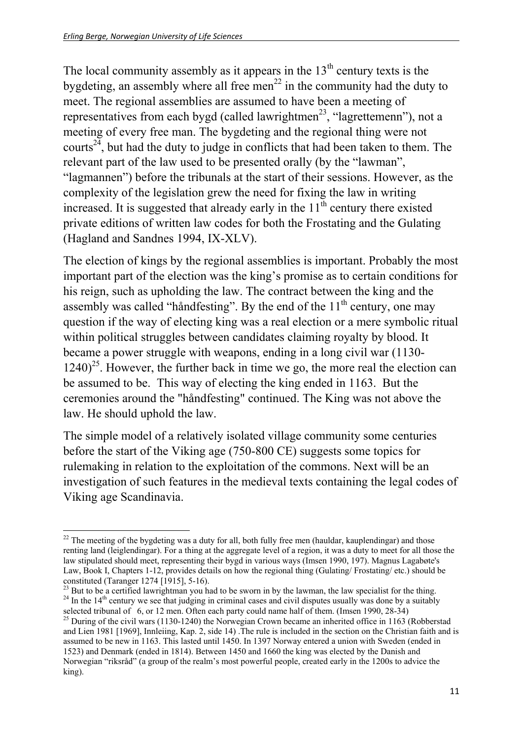The local community assembly as it appears in the  $13<sup>th</sup>$  century texts is the bygdeting, an assembly where all free men<sup>22</sup> in the community had the duty to meet. The regional assemblies are assumed to have been a meeting of representatives from each bygd (called lawrightmen<sup>23</sup>, "lagrettemenn"), not a meeting of every free man. The bygdeting and the regional thing were not courts<sup> $24$ </sup>, but had the duty to judge in conflicts that had been taken to them. The relevant part of the law used to be presented orally (by the "lawman", "lagmannen") before the tribunals at the start of their sessions. However, as the complexity of the legislation grew the need for fixing the law in writing increased. It is suggested that already early in the  $11<sup>th</sup>$  century there existed private editions of written law codes for both the Frostating and the Gulating (Hagland and Sandnes 1994, IX-XLV).

The election of kings by the regional assemblies is important. Probably the most important part of the election was the king's promise as to certain conditions for his reign, such as upholding the law. The contract between the king and the assembly was called "håndfesting". By the end of the  $11<sup>th</sup>$  century, one may question if the way of electing king was a real election or a mere symbolic ritual within political struggles between candidates claiming royalty by blood. It became a power struggle with weapons, ending in a long civil war (1130-  $1240)^{25}$ . However, the further back in time we go, the more real the election can be assumed to be. This way of electing the king ended in 1163. But the ceremonies around the "håndfesting" continued. The King was not above the law. He should uphold the law.

The simple model of a relatively isolated village community some centuries before the start of the Viking age (750-800 CE) suggests some topics for rulemaking in relation to the exploitation of the commons. Next will be an investigation of such features in the medieval texts containing the legal codes of Viking age Scandinavia.

  $22$  The meeting of the bygdeting was a duty for all, both fully free men (hauldar, kauplendingar) and those renting land (leiglendingar). For a thing at the aggregate level of a region, it was a duty to meet for all those the law stipulated should meet, representing their bygd in various ways (Imsen 1990, 197). Magnus Lagabøte's Law, Book I, Chapters 1-12, provides details on how the regional thing (Gulating/ Frostating/ etc.) should be constituted (Taranger 1274 [1915], 5-16).<br><sup>23</sup> But to be a certified lawrightman you had to be sworn in by the lawman, the law specialist for the thing.

<sup>&</sup>lt;sup>24</sup> In the 14<sup>th</sup> century we see that judging in criminal cases and civil disputes usually was done by a suitably selected tribunal of 6, or 12 men. Often each party could name half of them. (Imsen 1990, 28-34)

<sup>&</sup>lt;sup>25</sup> During of the civil wars (1130-1240) the Norwegian Crown became an inherited office in 1163 (Robberstad and Lien 1981 [1969], Innleiing, Kap. 2, side 14) .The rule is included in the section on the Christian faith and is assumed to be new in 1163. This lasted until 1450. In 1397 Norway entered a union with Sweden (ended in 1523) and Denmark (ended in 1814). Between 1450 and 1660 the king was elected by the Danish and Norwegian "riksråd" (a group of the realm's most powerful people, created early in the 1200s to advice the king).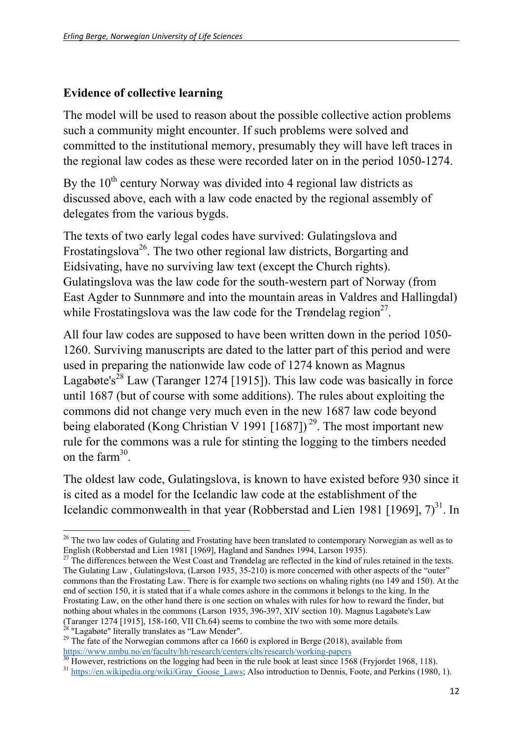#### **Evidence of collective learning**

The model will be used to reason about the possible collective action problems such a community might encounter. If such problems were solved and committed to the institutional memory, presumably they will have left traces in the regional law codes as these were recorded later on in the period 1050-1274.

By the  $10<sup>th</sup>$  century Norway was divided into 4 regional law districts as discussed above, each with a law code enacted by the regional assembly of delegates from the various bygds.

The texts of two early legal codes have survived: Gulatingslova and Frostatingslova<sup>26</sup>. The two other regional law districts, Borgarting and Eidsivating, have no surviving law text (except the Church rights). Gulatingslova was the law code for the south-western part of Norway (from East Agder to Sunnmøre and into the mountain areas in Valdres and Hallingdal) while Frostatingslova was the law code for the Trøndelag region<sup>27</sup>.

All four law codes are supposed to have been written down in the period 1050- 1260. Surviving manuscripts are dated to the latter part of this period and were used in preparing the nationwide law code of 1274 known as Magnus Lagabøte's<sup>28</sup> Law (Taranger 1274 [1915]). This law code was basically in force until 1687 (but of course with some additions). The rules about exploiting the commons did not change very much even in the new 1687 law code beyond being elaborated (Kong Christian V 1991 [1687])<sup>29</sup>. The most important new rule for the commons was a rule for stinting the logging to the timbers needed on the farm $30$ 

The oldest law code, Gulatingslova, is known to have existed before 930 since it is cited as a model for the Icelandic law code at the establishment of the Icelandic commonwealth in that year (Robberstad and Lien 1981 [1969],  $7)^{31}$ . In

  $26$  The two law codes of Gulating and Frostating have been translated to contemporary Norwegian as well as to English (Robberstad and Lien 1981 [1969], Hagland and Sandnes 1994, Larson 1935).

 $27$  The differences between the West Coast and Trøndelag are reflected in the kind of rules retained in the texts. The Gulating Law , Gulatingslova, (Larson 1935, 35-210) is more concerned with other aspects of the "outer" commons than the Frostating Law. There is for example two sections on whaling rights (no 149 and 150). At the end of section 150, it is stated that if a whale comes ashore in the commons it belongs to the king. In the Frostating Law, on the other hand there is one section on whales with rules for how to reward the finder, but nothing about whales in the commons (Larson 1935, 396-397, XIV section 10). Magnus Lagabøte's Law (Taranger 1274 [1915], 158-160, VII Ch.64) seems to combine the two with some more details.  $28$  "Lagabøte" literally translates as "Law Mender".

<sup>&</sup>lt;sup>29</sup> The fate of the Norwegian commons after ca 1660 is explored in Berge (2018), available from

https://www.nmbu.no/en/faculty/hh/research/centers/clts/research/working-papers<br><sup>30</sup> However, restrictions on the logging had been in the rule book at least since 1568 (Fryjordet 1968, 118).

<sup>&</sup>lt;sup>31</sup> https://en.wikipedia.org/wiki/Gray Goose Laws; Also introduction to Dennis, Foote, and Perkins (1980, 1).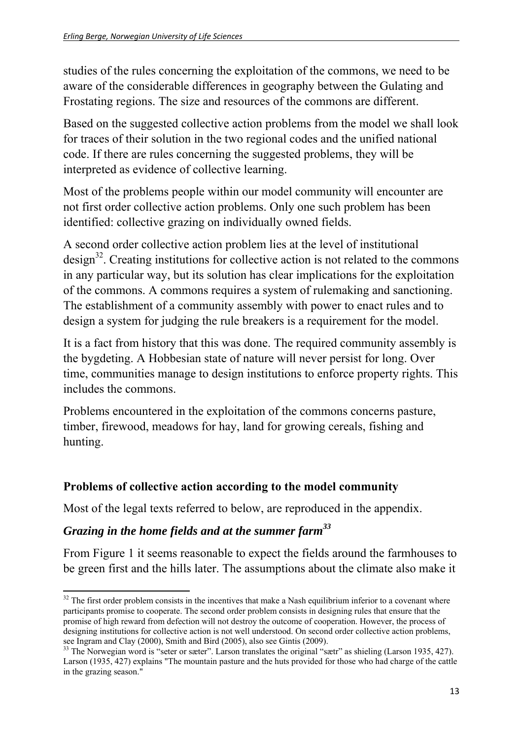studies of the rules concerning the exploitation of the commons, we need to be aware of the considerable differences in geography between the Gulating and Frostating regions. The size and resources of the commons are different.

Based on the suggested collective action problems from the model we shall look for traces of their solution in the two regional codes and the unified national code. If there are rules concerning the suggested problems, they will be interpreted as evidence of collective learning.

Most of the problems people within our model community will encounter are not first order collective action problems. Only one such problem has been identified: collective grazing on individually owned fields.

A second order collective action problem lies at the level of institutional design<sup>32</sup>. Creating institutions for collective action is not related to the commons in any particular way, but its solution has clear implications for the exploitation of the commons. A commons requires a system of rulemaking and sanctioning. The establishment of a community assembly with power to enact rules and to design a system for judging the rule breakers is a requirement for the model.

It is a fact from history that this was done. The required community assembly is the bygdeting. A Hobbesian state of nature will never persist for long. Over time, communities manage to design institutions to enforce property rights. This includes the commons.

Problems encountered in the exploitation of the commons concerns pasture, timber, firewood, meadows for hay, land for growing cereals, fishing and hunting.

#### **Problems of collective action according to the model community**

Most of the legal texts referred to below, are reproduced in the appendix.

#### *Grazing in the home fields and at the summer farm<sup>33</sup>*

From Figure 1 it seems reasonable to expect the fields around the farmhouses to be green first and the hills later. The assumptions about the climate also make it

  $32$  The first order problem consists in the incentives that make a Nash equilibrium inferior to a covenant where participants promise to cooperate. The second order problem consists in designing rules that ensure that the promise of high reward from defection will not destroy the outcome of cooperation. However, the process of designing institutions for collective action is not well understood. On second order collective action problems, see Ingram and Clay (2000), Smith and Bird (2005), also see Gintis (2009).

<sup>&</sup>lt;sup>33</sup> The Norwegian word is "seter or sæter". Larson translates the original "sætr" as shieling (Larson 1935, 427). Larson (1935, 427) explains "The mountain pasture and the huts provided for those who had charge of the cattle in the grazing season."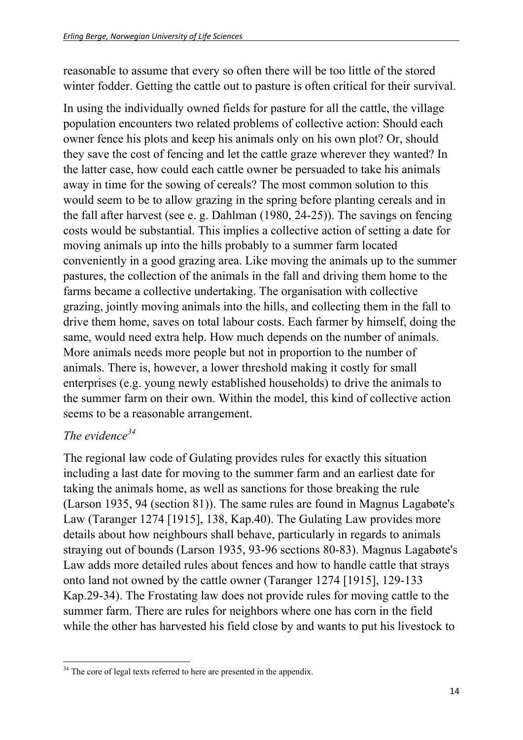reasonable to assume that every so often there will be too little of the stored winter fodder. Getting the cattle out to pasture is often critical for their survival.

In using the individually owned fields for pasture for all the cattle, the village population encounters two related problems of collective action: Should each owner fence his plots and keep his animals only on his own plot? Or, should they save the cost of fencing and let the cattle graze wherever they wanted? In the latter case, how could each cattle owner be persuaded to take his animals away in time for the sowing of cereals? The most common solution to this would seem to be to allow grazing in the spring before planting cereals and in the fall after harvest (see e. g. Dahlman (1980, 24-25)). The savings on fencing costs would be substantial. This implies a collective action of setting a date for moving animals up into the hills probably to a summer farm located conveniently in a good grazing area. Like moving the animals up to the summer pastures, the collection of the animals in the fall and driving them home to the farms became a collective undertaking. The organisation with collective grazing, jointly moving animals into the hills, and collecting them in the fall to drive them home, saves on total labour costs. Each farmer by himself, doing the same, would need extra help. How much depends on the number of animals. More animals needs more people but not in proportion to the number of animals. There is, however, a lower threshold making it costly for small enterprises (e.g. young newly established households) to drive the animals to the summer farm on their own. Within the model, this kind of collective action seems to be a reasonable arrangement.

### *The evidence<sup>34</sup>*

The regional law code of Gulating provides rules for exactly this situation including a last date for moving to the summer farm and an earliest date for taking the animals home, as well as sanctions for those breaking the rule (Larson 1935, 94 (section 81)). The same rules are found in Magnus Lagabøte's Law (Taranger 1274 [1915], 138, Kap.40). The Gulating Law provides more details about how neighbours shall behave, particularly in regards to animals straying out of bounds (Larson 1935, 93-96 sections 80-83). Magnus Lagabøte's Law adds more detailed rules about fences and how to handle cattle that strays onto land not owned by the cattle owner (Taranger 1274 [1915], 129-133 Kap.29-34). The Frostating law does not provide rules for moving cattle to the summer farm. There are rules for neighbors where one has corn in the field while the other has harvested his field close by and wants to put his livestock to

  $34$  The core of legal texts referred to here are presented in the appendix.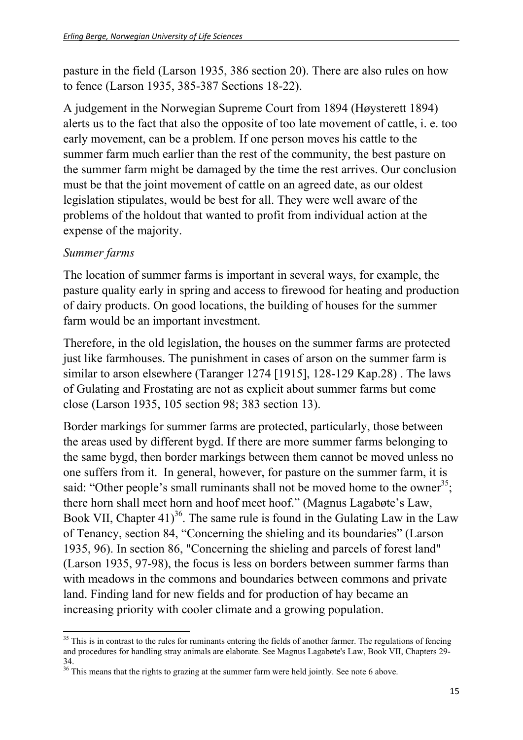pasture in the field (Larson 1935, 386 section 20). There are also rules on how to fence (Larson 1935, 385-387 Sections 18-22).

A judgement in the Norwegian Supreme Court from 1894 (Høysterett 1894) alerts us to the fact that also the opposite of too late movement of cattle, i. e. too early movement, can be a problem. If one person moves his cattle to the summer farm much earlier than the rest of the community, the best pasture on the summer farm might be damaged by the time the rest arrives. Our conclusion must be that the joint movement of cattle on an agreed date, as our oldest legislation stipulates, would be best for all. They were well aware of the problems of the holdout that wanted to profit from individual action at the expense of the majority.

#### *Summer farms*

The location of summer farms is important in several ways, for example, the pasture quality early in spring and access to firewood for heating and production of dairy products. On good locations, the building of houses for the summer farm would be an important investment.

Therefore, in the old legislation, the houses on the summer farms are protected just like farmhouses. The punishment in cases of arson on the summer farm is similar to arson elsewhere (Taranger 1274 [1915], 128-129 Kap.28) . The laws of Gulating and Frostating are not as explicit about summer farms but come close (Larson 1935, 105 section 98; 383 section 13).

Border markings for summer farms are protected, particularly, those between the areas used by different bygd. If there are more summer farms belonging to the same bygd, then border markings between them cannot be moved unless no one suffers from it. In general, however, for pasture on the summer farm, it is said: "Other people's small ruminants shall not be moved home to the owner<sup>35</sup>; there horn shall meet horn and hoof meet hoof." (Magnus Lagabøte's Law, Book VII, Chapter 41)<sup>36</sup>. The same rule is found in the Gulating Law in the Law of Tenancy, section 84, "Concerning the shieling and its boundaries" (Larson 1935, 96). In section 86, "Concerning the shieling and parcels of forest land" (Larson 1935, 97-98), the focus is less on borders between summer farms than with meadows in the commons and boundaries between commons and private land. Finding land for new fields and for production of hay became an increasing priority with cooler climate and a growing population.

 <sup>35</sup> This is in contrast to the rules for ruminants entering the fields of another farmer. The regulations of fencing and procedures for handling stray animals are elaborate. See Magnus Lagabøte's Law, Book VII, Chapters 29- 34.

 $36$  This means that the rights to grazing at the summer farm were held jointly. See note 6 above.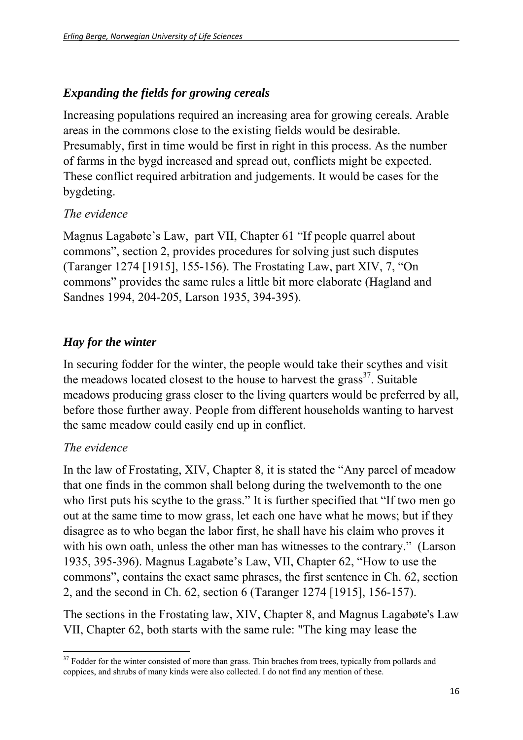#### *Expanding the fields for growing cereals*

Increasing populations required an increasing area for growing cereals. Arable areas in the commons close to the existing fields would be desirable. Presumably, first in time would be first in right in this process. As the number of farms in the bygd increased and spread out, conflicts might be expected. These conflict required arbitration and judgements. It would be cases for the bygdeting.

#### *The evidence*

Magnus Lagabøte's Law, part VII, Chapter 61 "If people quarrel about commons", section 2, provides procedures for solving just such disputes (Taranger 1274 [1915], 155-156). The Frostating Law, part XIV, 7, "On commons" provides the same rules a little bit more elaborate (Hagland and Sandnes 1994, 204-205, Larson 1935, 394-395).

### *Hay for the winter*

In securing fodder for the winter, the people would take their scythes and visit the meadows located closest to the house to harvest the grass<sup>37</sup>. Suitable meadows producing grass closer to the living quarters would be preferred by all, before those further away. People from different households wanting to harvest the same meadow could easily end up in conflict.

#### *The evidence*

In the law of Frostating, XIV, Chapter 8, it is stated the "Any parcel of meadow that one finds in the common shall belong during the twelvemonth to the one who first puts his scythe to the grass." It is further specified that "If two men go out at the same time to mow grass, let each one have what he mows; but if they disagree as to who began the labor first, he shall have his claim who proves it with his own oath, unless the other man has witnesses to the contrary." (Larson 1935, 395-396). Magnus Lagabøte's Law, VII, Chapter 62, "How to use the commons", contains the exact same phrases, the first sentence in Ch. 62, section 2, and the second in Ch. 62, section 6 (Taranger 1274 [1915], 156-157).

The sections in the Frostating law, XIV, Chapter 8, and Magnus Lagabøte's Law VII, Chapter 62, both starts with the same rule: "The king may lease the

  $37$  Fodder for the winter consisted of more than grass. Thin braches from trees, typically from pollards and coppices, and shrubs of many kinds were also collected. I do not find any mention of these.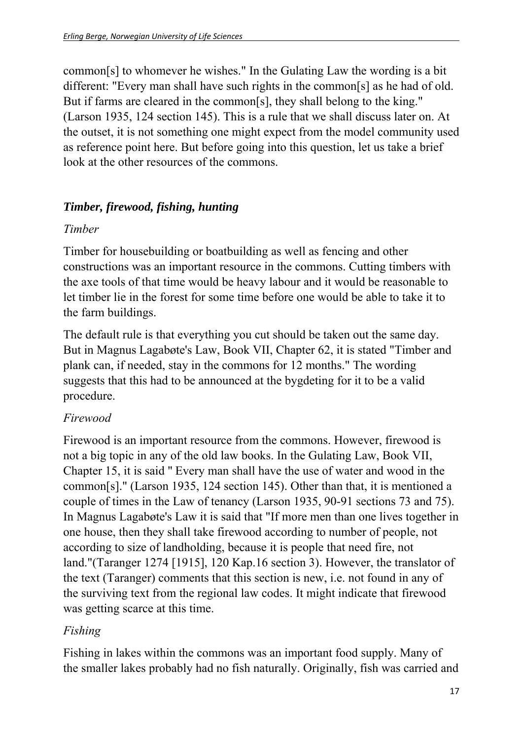common[s] to whomever he wishes." In the Gulating Law the wording is a bit different: "Every man shall have such rights in the common[s] as he had of old. But if farms are cleared in the common[s], they shall belong to the king." (Larson 1935, 124 section 145). This is a rule that we shall discuss later on. At the outset, it is not something one might expect from the model community used as reference point here. But before going into this question, let us take a brief look at the other resources of the commons.

#### *Timber, firewood, fishing, hunting*

#### *Timber*

Timber for housebuilding or boatbuilding as well as fencing and other constructions was an important resource in the commons. Cutting timbers with the axe tools of that time would be heavy labour and it would be reasonable to let timber lie in the forest for some time before one would be able to take it to the farm buildings.

The default rule is that everything you cut should be taken out the same day. But in Magnus Lagabøte's Law, Book VII, Chapter 62, it is stated "Timber and plank can, if needed, stay in the commons for 12 months." The wording suggests that this had to be announced at the bygdeting for it to be a valid procedure.

#### *Firewood*

Firewood is an important resource from the commons. However, firewood is not a big topic in any of the old law books. In the Gulating Law, Book VII, Chapter 15, it is said " Every man shall have the use of water and wood in the common[s]." (Larson 1935, 124 section 145). Other than that, it is mentioned a couple of times in the Law of tenancy (Larson 1935, 90-91 sections 73 and 75). In Magnus Lagabøte's Law it is said that "If more men than one lives together in one house, then they shall take firewood according to number of people, not according to size of landholding, because it is people that need fire, not land."(Taranger 1274 [1915], 120 Kap.16 section 3). However, the translator of the text (Taranger) comments that this section is new, i.e. not found in any of the surviving text from the regional law codes. It might indicate that firewood was getting scarce at this time.

#### *Fishing*

Fishing in lakes within the commons was an important food supply. Many of the smaller lakes probably had no fish naturally. Originally, fish was carried and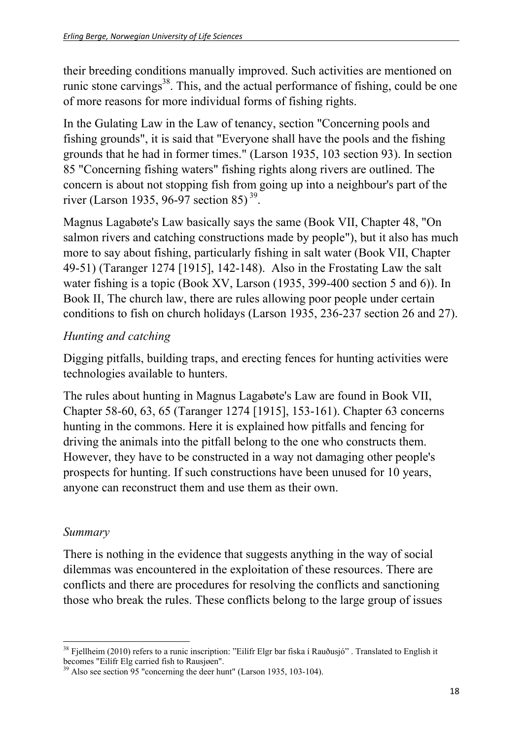their breeding conditions manually improved. Such activities are mentioned on runic stone carvings<sup>38</sup>. This, and the actual performance of fishing, could be one of more reasons for more individual forms of fishing rights.

In the Gulating Law in the Law of tenancy, section "Concerning pools and fishing grounds", it is said that "Everyone shall have the pools and the fishing grounds that he had in former times." (Larson 1935, 103 section 93). In section 85 "Concerning fishing waters" fishing rights along rivers are outlined. The concern is about not stopping fish from going up into a neighbour's part of the river (Larson 1935, 96-97 section 85)<sup>39</sup>.

Magnus Lagabøte's Law basically says the same (Book VII, Chapter 48, "On salmon rivers and catching constructions made by people"), but it also has much more to say about fishing, particularly fishing in salt water (Book VII, Chapter 49-51) (Taranger 1274 [1915], 142-148). Also in the Frostating Law the salt water fishing is a topic (Book XV, Larson (1935, 399-400 section 5 and 6)). In Book II, The church law, there are rules allowing poor people under certain conditions to fish on church holidays (Larson 1935, 236-237 section 26 and 27).

### *Hunting and catching*

Digging pitfalls, building traps, and erecting fences for hunting activities were technologies available to hunters.

The rules about hunting in Magnus Lagabøte's Law are found in Book VII, Chapter 58-60, 63, 65 (Taranger 1274 [1915], 153-161). Chapter 63 concerns hunting in the commons. Here it is explained how pitfalls and fencing for driving the animals into the pitfall belong to the one who constructs them. However, they have to be constructed in a way not damaging other people's prospects for hunting. If such constructions have been unused for 10 years, anyone can reconstruct them and use them as their own.

#### *Summary*

There is nothing in the evidence that suggests anything in the way of social dilemmas was encountered in the exploitation of these resources. There are conflicts and there are procedures for resolving the conflicts and sanctioning those who break the rules. These conflicts belong to the large group of issues

  $38$  Fjellheim (2010) refers to a runic inscription: "Eilífr Elgr bar fiska í Rauðusjó" . Translated to English it becomes "Eilífr Elg carried fish to Rausjøen".

 $^{39}$  Also see section 95 "concerning the deer hunt" (Larson 1935, 103-104).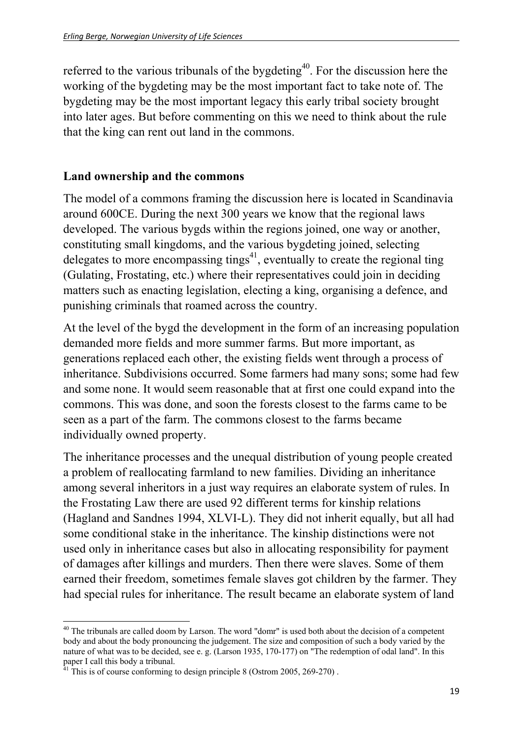referred to the various tribunals of the bygdeting<sup>40</sup>. For the discussion here the working of the bygdeting may be the most important fact to take note of. The bygdeting may be the most important legacy this early tribal society brought into later ages. But before commenting on this we need to think about the rule that the king can rent out land in the commons.

#### **Land ownership and the commons**

The model of a commons framing the discussion here is located in Scandinavia around 600CE. During the next 300 years we know that the regional laws developed. The various bygds within the regions joined, one way or another, constituting small kingdoms, and the various bygdeting joined, selecting delegates to more encompassing tings<sup>41</sup>, eventually to create the regional ting (Gulating, Frostating, etc.) where their representatives could join in deciding matters such as enacting legislation, electing a king, organising a defence, and punishing criminals that roamed across the country.

At the level of the bygd the development in the form of an increasing population demanded more fields and more summer farms. But more important, as generations replaced each other, the existing fields went through a process of inheritance. Subdivisions occurred. Some farmers had many sons; some had few and some none. It would seem reasonable that at first one could expand into the commons. This was done, and soon the forests closest to the farms came to be seen as a part of the farm. The commons closest to the farms became individually owned property.

The inheritance processes and the unequal distribution of young people created a problem of reallocating farmland to new families. Dividing an inheritance among several inheritors in a just way requires an elaborate system of rules. In the Frostating Law there are used 92 different terms for kinship relations (Hagland and Sandnes 1994, XLVI-L). They did not inherit equally, but all had some conditional stake in the inheritance. The kinship distinctions were not used only in inheritance cases but also in allocating responsibility for payment of damages after killings and murders. Then there were slaves. Some of them earned their freedom, sometimes female slaves got children by the farmer. They had special rules for inheritance. The result became an elaborate system of land

  $40$  The tribunals are called doom by Larson. The word "domr" is used both about the decision of a competent body and about the body pronouncing the judgement. The size and composition of such a body varied by the nature of what was to be decided, see e. g. (Larson 1935, 170-177) on "The redemption of odal land". In this paper I call this body a tribunal.

 $^{41}$  This is of course conforming to design principle 8 (Ostrom 2005, 269-270).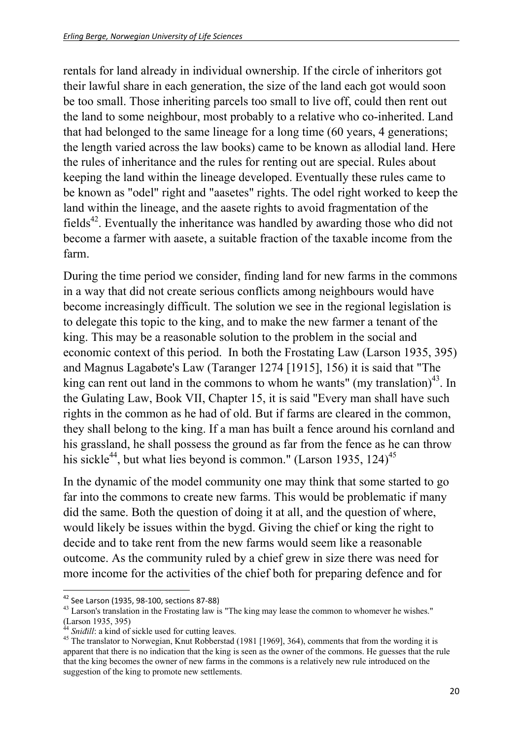rentals for land already in individual ownership. If the circle of inheritors got their lawful share in each generation, the size of the land each got would soon be too small. Those inheriting parcels too small to live off, could then rent out the land to some neighbour, most probably to a relative who co-inherited. Land that had belonged to the same lineage for a long time (60 years, 4 generations; the length varied across the law books) came to be known as allodial land. Here the rules of inheritance and the rules for renting out are special. Rules about keeping the land within the lineage developed. Eventually these rules came to be known as "odel" right and "aasetes" rights. The odel right worked to keep the land within the lineage, and the aasete rights to avoid fragmentation of the fields<sup>42</sup>. Eventually the inheritance was handled by awarding those who did not become a farmer with aasete, a suitable fraction of the taxable income from the farm.

During the time period we consider, finding land for new farms in the commons in a way that did not create serious conflicts among neighbours would have become increasingly difficult. The solution we see in the regional legislation is to delegate this topic to the king, and to make the new farmer a tenant of the king. This may be a reasonable solution to the problem in the social and economic context of this period. In both the Frostating Law (Larson 1935, 395) and Magnus Lagabøte's Law (Taranger 1274 [1915], 156) it is said that "The king can rent out land in the commons to whom he wants" (my translation)<sup>43</sup>. In the Gulating Law, Book VII, Chapter 15, it is said "Every man shall have such rights in the common as he had of old. But if farms are cleared in the common, they shall belong to the king. If a man has built a fence around his cornland and his grassland, he shall possess the ground as far from the fence as he can throw his sickle<sup>44</sup>, but what lies beyond is common." (Larson 1935, 124)<sup>45</sup>

In the dynamic of the model community one may think that some started to go far into the commons to create new farms. This would be problematic if many did the same. Both the question of doing it at all, and the question of where, would likely be issues within the bygd. Giving the chief or king the right to decide and to take rent from the new farms would seem like a reasonable outcome. As the community ruled by a chief grew in size there was need for more income for the activities of the chief both for preparing defence and for

 $42$  See Larson (1935, 98-100, sections 87-88)

<sup>&</sup>lt;sup>43</sup> Larson's translation in the Frostating law is "The king may lease the common to whomever he wishes."  $(Larson 1935, 395)$ 

*Snidill*: a kind of sickle used for cutting leaves.

<sup>&</sup>lt;sup>45</sup> The translator to Norwegian, Knut Robberstad (1981 [1969], 364), comments that from the wording it is apparent that there is no indication that the king is seen as the owner of the commons. He guesses that the rule that the king becomes the owner of new farms in the commons is a relatively new rule introduced on the suggestion of the king to promote new settlements.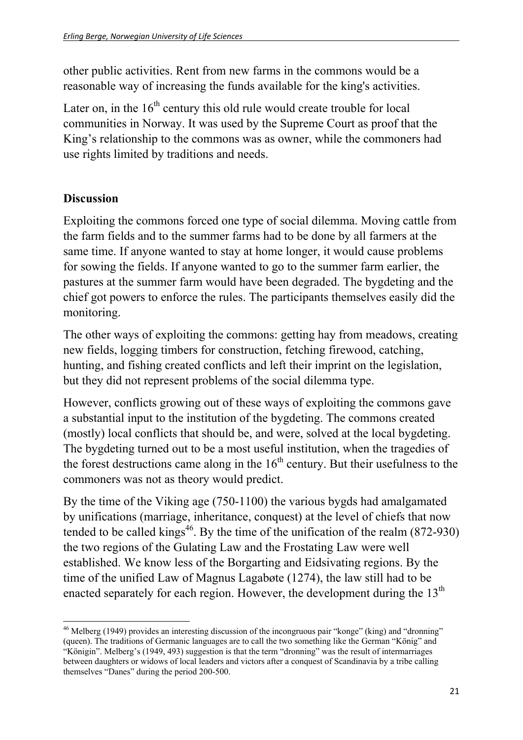other public activities. Rent from new farms in the commons would be a reasonable way of increasing the funds available for the king's activities.

Later on, in the  $16<sup>th</sup>$  century this old rule would create trouble for local communities in Norway. It was used by the Supreme Court as proof that the King's relationship to the commons was as owner, while the commoners had use rights limited by traditions and needs.

#### **Discussion**

Exploiting the commons forced one type of social dilemma. Moving cattle from the farm fields and to the summer farms had to be done by all farmers at the same time. If anyone wanted to stay at home longer, it would cause problems for sowing the fields. If anyone wanted to go to the summer farm earlier, the pastures at the summer farm would have been degraded. The bygdeting and the chief got powers to enforce the rules. The participants themselves easily did the monitoring.

The other ways of exploiting the commons: getting hay from meadows, creating new fields, logging timbers for construction, fetching firewood, catching, hunting, and fishing created conflicts and left their imprint on the legislation, but they did not represent problems of the social dilemma type.

However, conflicts growing out of these ways of exploiting the commons gave a substantial input to the institution of the bygdeting. The commons created (mostly) local conflicts that should be, and were, solved at the local bygdeting. The bygdeting turned out to be a most useful institution, when the tragedies of the forest destructions came along in the  $16<sup>th</sup>$  century. But their usefulness to the commoners was not as theory would predict.

By the time of the Viking age (750-1100) the various bygds had amalgamated by unifications (marriage, inheritance, conquest) at the level of chiefs that now tended to be called kings<sup>46</sup>. By the time of the unification of the realm  $(872-930)$ the two regions of the Gulating Law and the Frostating Law were well established. We know less of the Borgarting and Eidsivating regions. By the time of the unified Law of Magnus Lagabøte (1274), the law still had to be enacted separately for each region. However, the development during the  $13<sup>th</sup>$ 

  $^{46}$  Melberg (1949) provides an interesting discussion of the incongruous pair "konge" (king) and "dronning" (queen). The traditions of Germanic languages are to call the two something like the German "König" and "Königin". Melberg's (1949, 493) suggestion is that the term "dronning" was the result of intermarriages between daughters or widows of local leaders and victors after a conquest of Scandinavia by a tribe calling themselves "Danes" during the period 200-500.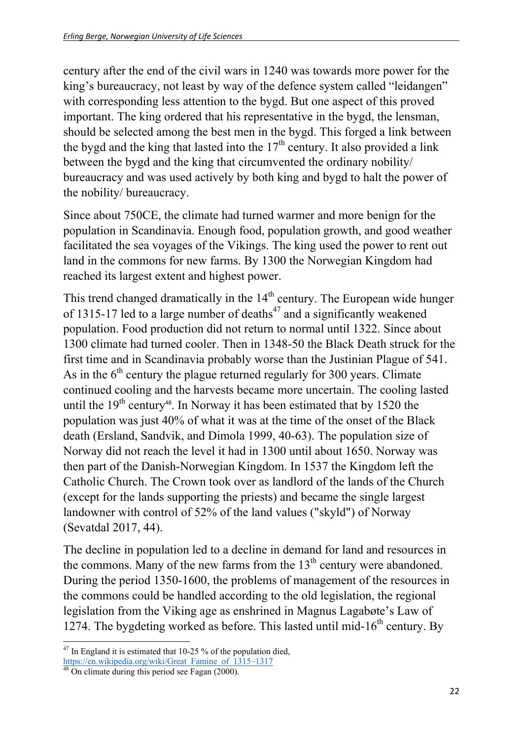century after the end of the civil wars in 1240 was towards more power for the king's bureaucracy, not least by way of the defence system called "leidangen" with corresponding less attention to the bygd. But one aspect of this proved important. The king ordered that his representative in the bygd, the lensman, should be selected among the best men in the bygd. This forged a link between the bygd and the king that lasted into the  $17<sup>th</sup>$  century. It also provided a link between the bygd and the king that circumvented the ordinary nobility/ bureaucracy and was used actively by both king and bygd to halt the power of the nobility/ bureaucracy.

Since about 750CE, the climate had turned warmer and more benign for the population in Scandinavia. Enough food, population growth, and good weather facilitated the sea voyages of the Vikings. The king used the power to rent out land in the commons for new farms. By 1300 the Norwegian Kingdom had reached its largest extent and highest power.

This trend changed dramatically in the  $14<sup>th</sup>$  century. The European wide hunger of 1315-17 led to a large number of deaths<sup> $47$ </sup> and a significantly weakened population. Food production did not return to normal until 1322. Since about 1300 climate had turned cooler. Then in 1348-50 the Black Death struck for the first time and in Scandinavia probably worse than the Justinian Plague of 541. As in the  $6<sup>th</sup>$  century the plague returned regularly for 300 years. Climate continued cooling and the harvests became more uncertain. The cooling lasted until the  $19<sup>th</sup>$  century<sup>48</sup>. In Norway it has been estimated that by 1520 the population was just 40% of what it was at the time of the onset of the Black death (Ersland, Sandvik, and Dimola 1999, 40-63). The population size of Norway did not reach the level it had in 1300 until about 1650. Norway was then part of the Danish-Norwegian Kingdom. In 1537 the Kingdom left the Catholic Church. The Crown took over as landlord of the lands of the Church (except for the lands supporting the priests) and became the single largest landowner with control of 52% of the land values ("skyld") of Norway (Sevatdal 2017, 44).

The decline in population led to a decline in demand for land and resources in the commons. Many of the new farms from the  $13<sup>th</sup>$  century were abandoned. During the period 1350-1600, the problems of management of the resources in the commons could be handled according to the old legislation, the regional legislation from the Viking age as enshrined in Magnus Lagabøte's Law of 1274. The bygdeting worked as before. This lasted until mid-16<sup>th</sup> century. By

  $47$  In England it is estimated that 10-25 % of the population died,

https://en.wikipedia.org/wiki/Great\_Famine\_of\_1315–1317<br><sup>48</sup> On climate during this period see Fagan (2000).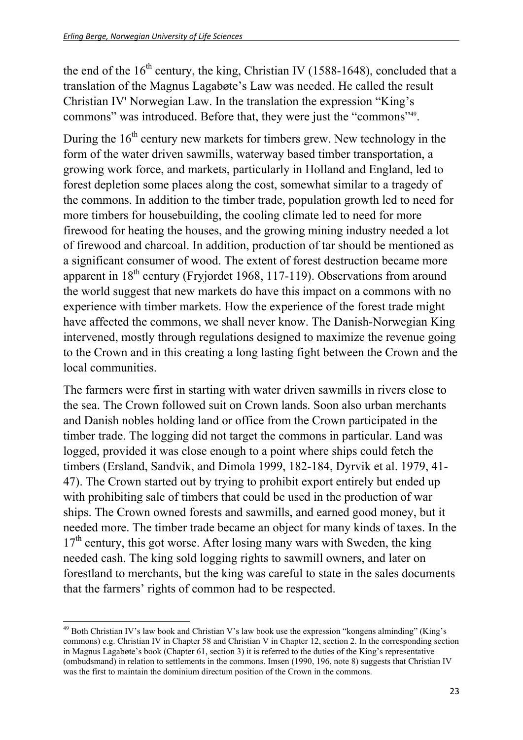the end of the  $16<sup>th</sup>$  century, the king, Christian IV (1588-1648), concluded that a translation of the Magnus Lagabøte's Law was needed. He called the result Christian IV' Norwegian Law. In the translation the expression "King's commons" was introduced. Before that, they were just the "commons"<sup>49</sup>.

During the  $16<sup>th</sup>$  century new markets for timbers grew. New technology in the form of the water driven sawmills, waterway based timber transportation, a growing work force, and markets, particularly in Holland and England, led to forest depletion some places along the cost, somewhat similar to a tragedy of the commons. In addition to the timber trade, population growth led to need for more timbers for housebuilding, the cooling climate led to need for more firewood for heating the houses, and the growing mining industry needed a lot of firewood and charcoal. In addition, production of tar should be mentioned as a significant consumer of wood. The extent of forest destruction became more apparent in  $18^{th}$  century (Fryjordet 1968, 117-119). Observations from around the world suggest that new markets do have this impact on a commons with no experience with timber markets. How the experience of the forest trade might have affected the commons, we shall never know. The Danish-Norwegian King intervened, mostly through regulations designed to maximize the revenue going to the Crown and in this creating a long lasting fight between the Crown and the local communities.

The farmers were first in starting with water driven sawmills in rivers close to the sea. The Crown followed suit on Crown lands. Soon also urban merchants and Danish nobles holding land or office from the Crown participated in the timber trade. The logging did not target the commons in particular. Land was logged, provided it was close enough to a point where ships could fetch the timbers (Ersland, Sandvik, and Dimola 1999, 182-184, Dyrvik et al. 1979, 41- 47). The Crown started out by trying to prohibit export entirely but ended up with prohibiting sale of timbers that could be used in the production of war ships. The Crown owned forests and sawmills, and earned good money, but it needed more. The timber trade became an object for many kinds of taxes. In the  $17<sup>th</sup>$  century, this got worse. After losing many wars with Sweden, the king needed cash. The king sold logging rights to sawmill owners, and later on forestland to merchants, but the king was careful to state in the sales documents that the farmers' rights of common had to be respected.

  $49$  Both Christian IV's law book and Christian V's law book use the expression "kongens alminding" (King's commons) e.g. Christian IV in Chapter 58 and Christian V in Chapter 12, section 2. In the corresponding section in Magnus Lagabøte's book (Chapter 61, section 3) it is referred to the duties of the King's representative (ombudsmand) in relation to settlements in the commons. Imsen (1990, 196, note 8) suggests that Christian IV was the first to maintain the dominium directum position of the Crown in the commons.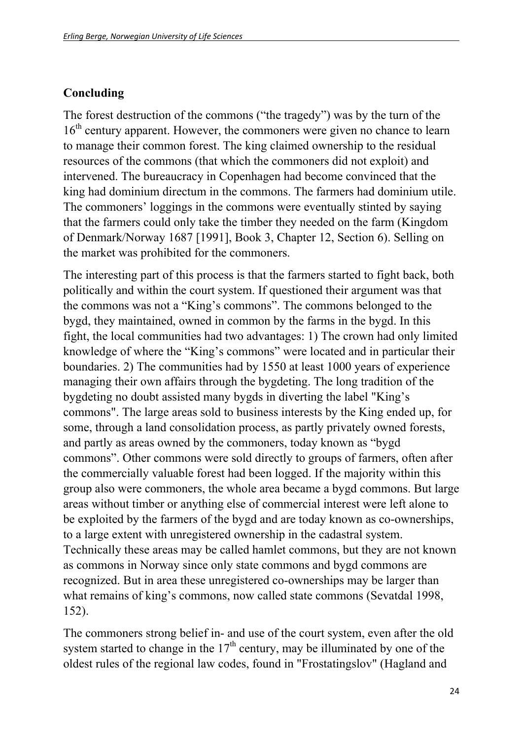#### **Concluding**

The forest destruction of the commons ("the tragedy") was by the turn of the  $16<sup>th</sup>$  century apparent. However, the commoners were given no chance to learn to manage their common forest. The king claimed ownership to the residual resources of the commons (that which the commoners did not exploit) and intervened. The bureaucracy in Copenhagen had become convinced that the king had dominium directum in the commons. The farmers had dominium utile. The commoners' loggings in the commons were eventually stinted by saying that the farmers could only take the timber they needed on the farm (Kingdom of Denmark/Norway 1687 [1991], Book 3, Chapter 12, Section 6). Selling on the market was prohibited for the commoners.

The interesting part of this process is that the farmers started to fight back, both politically and within the court system. If questioned their argument was that the commons was not a "King's commons". The commons belonged to the bygd, they maintained, owned in common by the farms in the bygd. In this fight, the local communities had two advantages: 1) The crown had only limited knowledge of where the "King's commons" were located and in particular their boundaries. 2) The communities had by 1550 at least 1000 years of experience managing their own affairs through the bygdeting. The long tradition of the bygdeting no doubt assisted many bygds in diverting the label "King's commons". The large areas sold to business interests by the King ended up, for some, through a land consolidation process, as partly privately owned forests, and partly as areas owned by the commoners, today known as "bygd commons". Other commons were sold directly to groups of farmers, often after the commercially valuable forest had been logged. If the majority within this group also were commoners, the whole area became a bygd commons. But large areas without timber or anything else of commercial interest were left alone to be exploited by the farmers of the bygd and are today known as co-ownerships, to a large extent with unregistered ownership in the cadastral system. Technically these areas may be called hamlet commons, but they are not known as commons in Norway since only state commons and bygd commons are recognized. But in area these unregistered co-ownerships may be larger than what remains of king's commons, now called state commons (Sevatdal 1998, 152).

The commoners strong belief in- and use of the court system, even after the old system started to change in the  $17<sup>th</sup>$  century, may be illuminated by one of the oldest rules of the regional law codes, found in "Frostatingslov" (Hagland and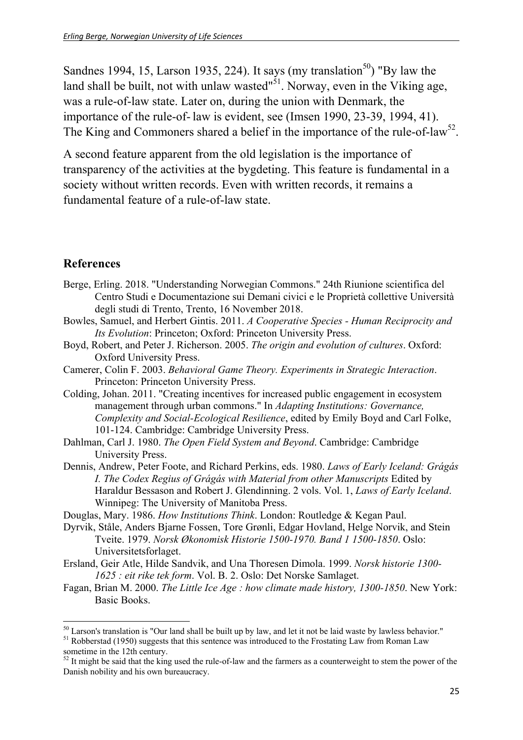Sandnes 1994, 15, Larson 1935, 224). It says (my translation<sup>50</sup>) "By law the land shall be built, not with unlaw wasted"<sup>51</sup>. Norway, even in the Viking age, was a rule-of-law state. Later on, during the union with Denmark, the importance of the rule-of- law is evident, see (Imsen 1990, 23-39, 1994, 41). The King and Commoners shared a belief in the importance of the rule-of-law<sup>52</sup>.

A second feature apparent from the old legislation is the importance of transparency of the activities at the bygdeting. This feature is fundamental in a society without written records. Even with written records, it remains a fundamental feature of a rule-of-law state.

#### **References**

- Berge, Erling. 2018. "Understanding Norwegian Commons." 24th Riunione scientifica del Centro Studi e Documentazione sui Demani civici e le Proprietà collettive Università degli studi di Trento, Trento, 16 November 2018.
- Bowles, Samuel, and Herbert Gintis. 2011. *A Cooperative Species Human Reciprocity and Its Evolution*: Princeton; Oxford: Princeton University Press.
- Boyd, Robert, and Peter J. Richerson. 2005. *The origin and evolution of cultures*. Oxford: Oxford University Press.
- Camerer, Colin F. 2003. *Behavioral Game Theory. Experiments in Strategic Interaction*. Princeton: Princeton University Press.
- Colding, Johan. 2011. "Creating incentives for increased public engagement in ecosystem management through urban commons." In *Adapting Institutions: Governance, Complexity and Social-Ecological Resilience*, edited by Emily Boyd and Carl Folke, 101-124. Cambridge: Cambridge University Press.
- Dahlman, Carl J. 1980. *The Open Field System and Beyond*. Cambridge: Cambridge University Press.
- Dennis, Andrew, Peter Foote, and Richard Perkins, eds. 1980. *Laws of Early Iceland: Grágás I. The Codex Regius of Grágás with Material from other Manuscripts* Edited by Haraldur Bessason and Robert J. Glendinning. 2 vols. Vol. 1, *Laws of Early Iceland*. Winnipeg: The University of Manitoba Press.
- Douglas, Mary. 1986. *How Institutions Think*. London: Routledge & Kegan Paul.
- Dyrvik, Ståle, Anders Bjarne Fossen, Tore Grønli, Edgar Hovland, Helge Norvik, and Stein Tveite. 1979. *Norsk Økonomisk Historie 1500-1970. Band 1 1500-1850*. Oslo: Universitetsforlaget.
- Ersland, Geir Atle, Hilde Sandvik, and Una Thoresen Dimola. 1999. *Norsk historie 1300- 1625 : eit rike tek form*. Vol. B. 2. Oslo: Det Norske Samlaget.
- Fagan, Brian M. 2000. *The Little Ice Age : how climate made history, 1300-1850*. New York: Basic Books.

 $50$  Larson's translation is "Our land shall be built up by law, and let it not be laid waste by lawless behavior."

<sup>&</sup>lt;sup>51</sup> Robberstad (1950) suggests that this sentence was introduced to the Frostating Law from Roman Law sometime in the 12th century.

 $52$  It might be said that the king used the rule-of-law and the farmers as a counterweight to stem the power of the Danish nobility and his own bureaucracy.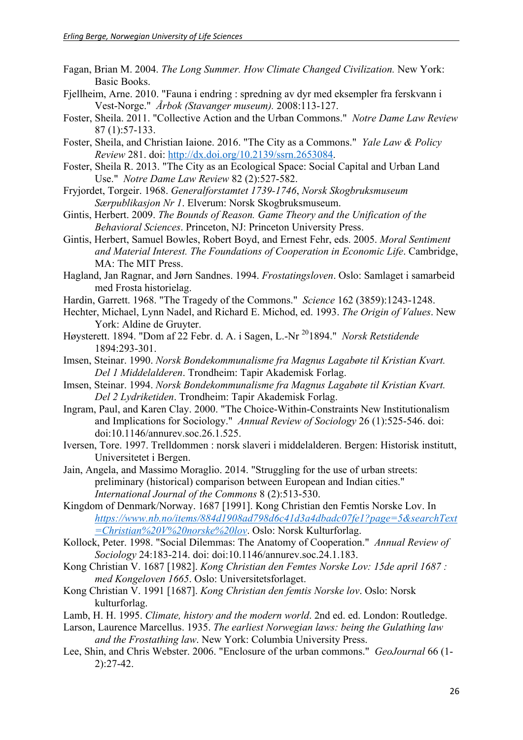- Fagan, Brian M. 2004. *The Long Summer. How Climate Changed Civilization.* New York: Basic Books.
- Fjellheim, Arne. 2010. "Fauna i endring : spredning av dyr med eksempler fra ferskvann i Vest-Norge." *Årbok (Stavanger museum).* 2008:113-127.
- Foster, Sheila. 2011. "Collective Action and the Urban Commons." *Notre Dame Law Review* 87 (1):57-133.
- Foster, Sheila, and Christian Iaione. 2016. "The City as a Commons." *Yale Law & Policy Review* 281. doi: http://dx.doi.org/10.2139/ssrn.2653084.
- Foster, Sheila R. 2013. "The City as an Ecological Space: Social Capital and Urban Land Use." *Notre Dame Law Review* 82 (2):527-582.
- Fryjordet, Torgeir. 1968. *Generalforstamtet 1739-1746*, *Norsk Skogbruksmuseum Særpublikasjon Nr 1*. Elverum: Norsk Skogbruksmuseum.
- Gintis, Herbert. 2009. *The Bounds of Reason. Game Theory and the Unification of the Behavioral Sciences*. Princeton, NJ: Princeton University Press.
- Gintis, Herbert, Samuel Bowles, Robert Boyd, and Ernest Fehr, eds. 2005. *Moral Sentiment and Material Interest. The Foundations of Cooperation in Economic Life*. Cambridge, MA: The MIT Press.
- Hagland, Jan Ragnar, and Jørn Sandnes. 1994. *Frostatingsloven*. Oslo: Samlaget i samarbeid med Frosta historielag.
- Hardin, Garrett. 1968. "The Tragedy of the Commons." *Science* 162 (3859):1243-1248.
- Hechter, Michael, Lynn Nadel, and Richard E. Michod, ed. 1993. *The Origin of Values*. New York: Aldine de Gruyter.
- Høysterett. 1894. "Dom af 22 Febr. d. A. i Sagen, L.-Nr 201894." *Norsk Retstidende* 1894:293-301.
- Imsen, Steinar. 1990. *Norsk Bondekommunalisme fra Magnus Lagabøte til Kristian Kvart. Del 1 Middelalderen*. Trondheim: Tapir Akademisk Forlag.
- Imsen, Steinar. 1994. *Norsk Bondekommunalisme fra Magnus Lagabøte til Kristian Kvart. Del 2 Lydriketiden*. Trondheim: Tapir Akademisk Forlag.
- Ingram, Paul, and Karen Clay. 2000. "The Choice-Within-Constraints New Institutionalism and Implications for Sociology." *Annual Review of Sociology* 26 (1):525-546. doi: doi:10.1146/annurev.soc.26.1.525.
- Iversen, Tore. 1997. Trelldommen : norsk slaveri i middelalderen. Bergen: Historisk institutt, Universitetet i Bergen.
- Jain, Angela, and Massimo Moraglio. 2014. "Struggling for the use of urban streets: preliminary (historical) comparison between European and Indian cities." *International Journal of the Commons* 8 (2):513-530.
- Kingdom of Denmark/Norway. 1687 [1991]. Kong Christian den Femtis Norske Lov. In *https://www.nb.no/items/884d1908ad798d6c41d3a4dbadc07fe1?page=5&searchText =Christian%20V%20norske%20lov*. Oslo: Norsk Kulturforlag.
- Kollock, Peter. 1998. "Social Dilemmas: The Anatomy of Cooperation." *Annual Review of Sociology* 24:183-214. doi: doi:10.1146/annurev.soc.24.1.183.
- Kong Christian V. 1687 [1982]. *Kong Christian den Femtes Norske Lov: 15de april 1687 : med Kongeloven 1665*. Oslo: Universitetsforlaget.
- Kong Christian V. 1991 [1687]. *Kong Christian den femtis Norske lov*. Oslo: Norsk kulturforlag.
- Lamb, H. H. 1995. *Climate, history and the modern world*. 2nd ed. ed. London: Routledge.
- Larson, Laurence Marcellus. 1935. *The earliest Norwegian laws: being the Gulathing law and the Frostathing law*. New York: Columbia University Press.
- Lee, Shin, and Chris Webster. 2006. "Enclosure of the urban commons." *GeoJournal* 66 (1- 2):27-42.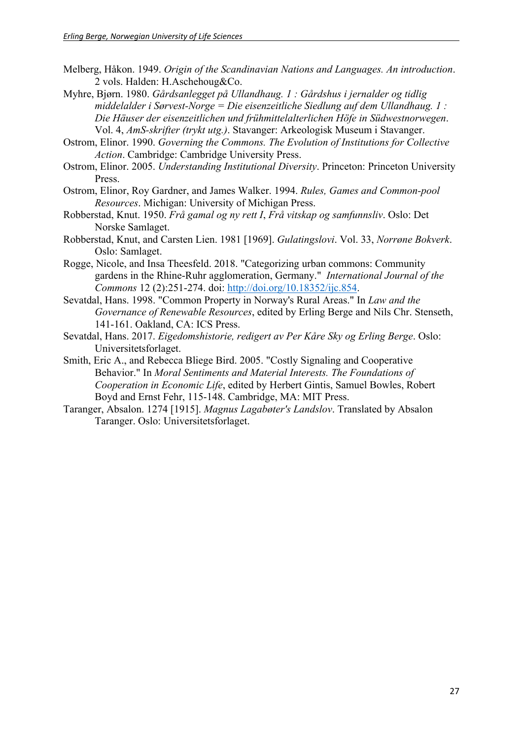- Melberg, Håkon. 1949. *Origin of the Scandinavian Nations and Languages. An introduction*. 2 vols. Halden: H.Aschehoug&Co.
- Myhre, Bjørn. 1980. *Gårdsanlegget på Ullandhaug. 1 : Gårdshus i jernalder og tidlig middelalder i Sørvest-Norge = Die eisenzeitliche Siedlung auf dem Ullandhaug. 1 : Die Häuser der eisenzeitlichen und frühmittelalterlichen Höfe in Südwestnorwegen*. Vol. 4, *AmS-skrifter (trykt utg.)*. Stavanger: Arkeologisk Museum i Stavanger.
- Ostrom, Elinor. 1990. *Governing the Commons. The Evolution of Institutions for Collective Action*. Cambridge: Cambridge University Press.
- Ostrom, Elinor. 2005. *Understanding Institutional Diversity*. Princeton: Princeton University Press.
- Ostrom, Elinor, Roy Gardner, and James Walker. 1994. *Rules, Games and Common-pool Resources*. Michigan: University of Michigan Press.
- Robberstad, Knut. 1950. *Frå gamal og ny rett I*, *Frå vitskap og samfunnsliv*. Oslo: Det Norske Samlaget.
- Robberstad, Knut, and Carsten Lien. 1981 [1969]. *Gulatingslovi*. Vol. 33, *Norrøne Bokverk*. Oslo: Samlaget.
- Rogge, Nicole, and Insa Theesfeld. 2018. "Categorizing urban commons: Community gardens in the Rhine-Ruhr agglomeration, Germany." *International Journal of the Commons* 12 (2):251-274. doi: http://doi.org/10.18352/ijc.854.
- Sevatdal, Hans. 1998. "Common Property in Norway's Rural Areas." In *Law and the Governance of Renewable Resources*, edited by Erling Berge and Nils Chr. Stenseth, 141-161. Oakland, CA: ICS Press.
- Sevatdal, Hans. 2017. *Eigedomshistorie, redigert av Per Kåre Sky og Erling Berge*. Oslo: Universitetsforlaget.
- Smith, Eric A., and Rebecca Bliege Bird. 2005. "Costly Signaling and Cooperative Behavior." In *Moral Sentiments and Material Interests. The Foundations of Cooperation in Economic Life*, edited by Herbert Gintis, Samuel Bowles, Robert Boyd and Ernst Fehr, 115-148. Cambridge, MA: MIT Press.
- Taranger, Absalon. 1274 [1915]. *Magnus Lagabøter's Landslov*. Translated by Absalon Taranger. Oslo: Universitetsforlaget.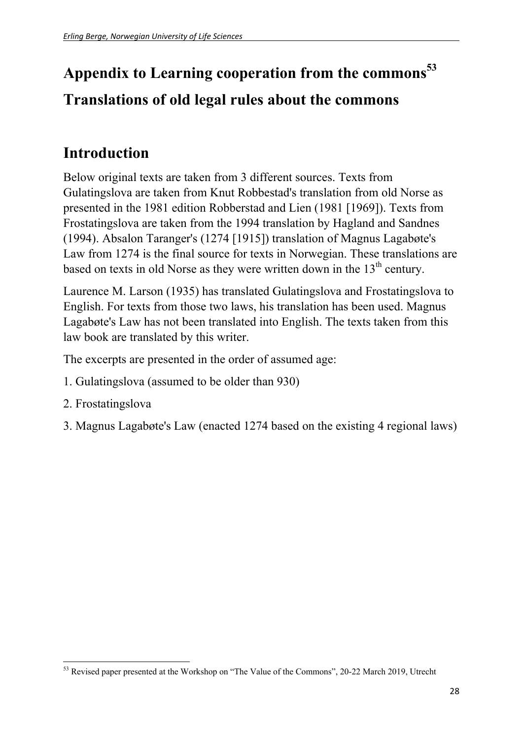# **Appendix to Learning cooperation from the commons<sup>53</sup> Translations of old legal rules about the commons**

### **Introduction**

Below original texts are taken from 3 different sources. Texts from Gulatingslova are taken from Knut Robbestad's translation from old Norse as presented in the 1981 edition Robberstad and Lien (1981 [1969]). Texts from Frostatingslova are taken from the 1994 translation by Hagland and Sandnes (1994). Absalon Taranger's (1274 [1915]) translation of Magnus Lagabøte's Law from 1274 is the final source for texts in Norwegian. These translations are based on texts in old Norse as they were written down in the  $13<sup>th</sup>$  century.

Laurence M. Larson (1935) has translated Gulatingslova and Frostatingslova to English. For texts from those two laws, his translation has been used. Magnus Lagabøte's Law has not been translated into English. The texts taken from this law book are translated by this writer.

The excerpts are presented in the order of assumed age:

- 1. Gulatingslova (assumed to be older than 930)
- 2. Frostatingslova

3. Magnus Lagabøte's Law (enacted 1274 based on the existing 4 regional laws)

<sup>&</sup>lt;sup>53</sup> Revised paper presented at the Workshop on "The Value of the Commons", 20-22 March 2019, Utrecht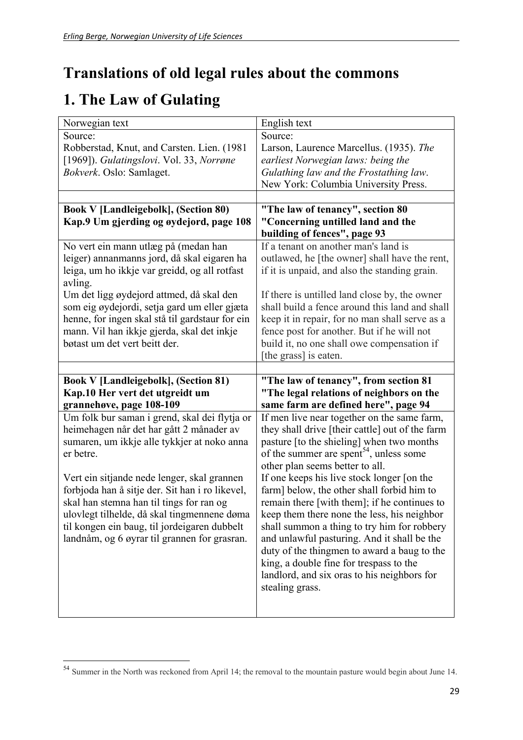### **Translations of old legal rules about the commons**

## **1. The Law of Gulating**

| Norwegian text                                           | English text                                        |
|----------------------------------------------------------|-----------------------------------------------------|
| Source:                                                  | Source:                                             |
| Robberstad, Knut, and Carsten. Lien. (1981)              | Larson, Laurence Marcellus. (1935). The             |
| [1969]). Gulatingslovi. Vol. 33, Norrøne                 | earliest Norwegian laws: being the                  |
| Bokverk. Oslo: Samlaget.                                 | Gulathing law and the Frostathing law.              |
|                                                          | New York: Columbia University Press.                |
|                                                          |                                                     |
| <b>Book V [Landleigebolk], (Section 80)</b>              | "The law of tenancy", section 80                    |
| Kap.9 Um gjerding og øydejord, page 108                  | "Concerning untilled land and the                   |
|                                                          | building of fences", page 93                        |
| No vert ein mann utlæg på (medan han                     | If a tenant on another man's land is                |
| leiger) annanmanns jord, då skal eigaren ha              | outlawed, he [the owner] shall have the rent,       |
| leiga, um ho ikkje var greidd, og all rotfast            | if it is unpaid, and also the standing grain.       |
| avling.                                                  |                                                     |
| Um det ligg øydejord attmed, då skal den                 | If there is untilled land close by, the owner       |
| som eig øydejordi, setja gard um eller gjæta             | shall build a fence around this land and shall      |
| henne, for ingen skal stå til gardstaur for ein          | keep it in repair, for no man shall serve as a      |
| mann. Vil han ikkje gjerda, skal det inkje               | fence post for another. But if he will not          |
| bøtast um det vert beitt der.                            | build it, no one shall owe compensation if          |
|                                                          | [the grass] is eaten.                               |
|                                                          |                                                     |
|                                                          |                                                     |
|                                                          |                                                     |
| <b>Book V [Landleigebolk], (Section 81)</b>              | "The law of tenancy", from section 81               |
| Kap.10 Her vert det utgreidt um                          | "The legal relations of neighbors on the            |
| grannehøve, page 108-109                                 | same farm are defined here", page 94                |
| Um folk bur saman i grend, skal dei flytja or            | If men live near together on the same farm,         |
| heimehagen når det har gått 2 månader av                 | they shall drive [their cattle] out of the farm     |
| sumaren, um ikkje alle tykkjer at noko anna<br>er betre. | pasture [to the shieling] when two months           |
|                                                          | of the summer are spent <sup>54</sup> , unless some |
|                                                          | other plan seems better to all.                     |
| Vert ein sitjande nede lenger, skal grannen              | If one keeps his live stock longer [on the          |
| forbjoda han å sitje der. Sit han i ro likevel,          | farm] below, the other shall forbid him to          |
| skal han stemna han til tings for ran og                 | remain there [with them]; if he continues to        |
| ulovlegt tilhelde, då skal tingmennene døma              | keep them there none the less, his neighbor         |
| til kongen ein baug, til jordeigaren dubbelt             | shall summon a thing to try him for robbery         |
| landnåm, og 6 øyrar til grannen for grasran.             | and unlawful pasturing. And it shall be the         |
|                                                          | duty of the thingmen to award a baug to the         |
|                                                          | king, a double fine for trespass to the             |
|                                                          | landlord, and six oras to his neighbors for         |
|                                                          | stealing grass.                                     |

<sup>&</sup>lt;sup>54</sup> Summer in the North was reckoned from April 14; the removal to the mountain pasture would begin about June 14.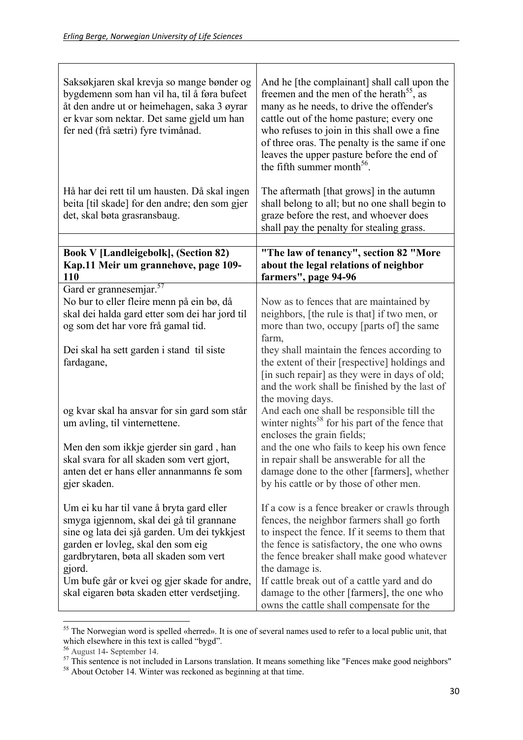| Saksøkjaren skal krevja so mange bønder og<br>bygdemenn som han vil ha, til å føra bufeet<br>åt den andre ut or heimehagen, saka 3 øyrar<br>er kvar som nektar. Det same gjeld um han<br>fer ned (frå sætri) fyre tvimånad.                                                                                                   | And he [the complainant] shall call upon the<br>freemen and the men of the herath <sup>55</sup> , as<br>many as he needs, to drive the offender's<br>cattle out of the home pasture; every one<br>who refuses to join in this shall owe a fine<br>of three oras. The penalty is the same if one<br>leaves the upper pasture before the end of<br>the fifth summer month <sup>56</sup> .                |
|-------------------------------------------------------------------------------------------------------------------------------------------------------------------------------------------------------------------------------------------------------------------------------------------------------------------------------|--------------------------------------------------------------------------------------------------------------------------------------------------------------------------------------------------------------------------------------------------------------------------------------------------------------------------------------------------------------------------------------------------------|
| Hå har dei rett til um hausten. Då skal ingen<br>beita [til skade] for den andre; den som gjer<br>det, skal bøta grasransbaug.                                                                                                                                                                                                | The aftermath [that grows] in the autumn<br>shall belong to all; but no one shall begin to<br>graze before the rest, and whoever does<br>shall pay the penalty for stealing grass.                                                                                                                                                                                                                     |
| <b>Book V [Landleigebolk], (Section 82)</b>                                                                                                                                                                                                                                                                                   | "The law of tenancy", section 82 "More                                                                                                                                                                                                                                                                                                                                                                 |
| Kap.11 Meir um grannehøve, page 109-<br><b>110</b>                                                                                                                                                                                                                                                                            | about the legal relations of neighbor<br>farmers", page 94-96                                                                                                                                                                                                                                                                                                                                          |
| Gard er grannesemjar. <sup>57</sup><br>No bur to eller fleire menn på ein bø, då<br>skal dei halda gard etter som dei har jord til<br>og som det har vore frå gamal tid.                                                                                                                                                      | Now as to fences that are maintained by<br>neighbors, [the rule is that] if two men, or<br>more than two, occupy [parts of] the same                                                                                                                                                                                                                                                                   |
| Dei skal ha sett garden i stand til siste<br>fardagane,                                                                                                                                                                                                                                                                       | farm,<br>they shall maintain the fences according to<br>the extent of their [respective] holdings and<br>[in such repair] as they were in days of old;<br>and the work shall be finished by the last of<br>the moving days.                                                                                                                                                                            |
| og kvar skal ha ansvar for sin gard som står<br>um avling, til vinternettene.                                                                                                                                                                                                                                                 | And each one shall be responsible till the<br>winter nights <sup>58</sup> for his part of the fence that<br>encloses the grain fields;                                                                                                                                                                                                                                                                 |
| Men den som ikkje gjerder sin gard, han<br>skal svara for all skaden som vert gjort,<br>anten det er hans eller annanmanns fe som<br>gjer skaden.                                                                                                                                                                             | and the one who fails to keep his own fence<br>in repair shall be answerable for all the<br>damage done to the other [farmers], whether<br>by his cattle or by those of other men.                                                                                                                                                                                                                     |
| Um ei ku har til vane å bryta gard eller<br>smyga igjennom, skal dei gå til grannane<br>sine og lata dei sjå garden. Um dei tykkjest<br>garden er lovleg, skal den som eig<br>gardbrytaren, bøta all skaden som vert<br>gjord.<br>Um bufe går or kvei og gjer skade for andre,<br>skal eigaren bøta skaden etter verdsetjing. | If a cow is a fence breaker or crawls through<br>fences, the neighbor farmers shall go forth<br>to inspect the fence. If it seems to them that<br>the fence is satisfactory, the one who owns<br>the fence breaker shall make good whatever<br>the damage is.<br>If cattle break out of a cattle yard and do<br>damage to the other [farmers], the one who<br>owns the cattle shall compensate for the |

  $55$  The Norwegian word is spelled «herred». It is one of several names used to refer to a local public unit, that which elsewhere in this text is called "bygd".

<sup>&</sup>lt;sup>56</sup> August 14- September 14.<br><sup>57</sup> This sentence is not included in Larsons translation. It means something like "Fences make good neighbors"

<sup>&</sup>lt;sup>58</sup> About October 14. Winter was reckoned as beginning at that time.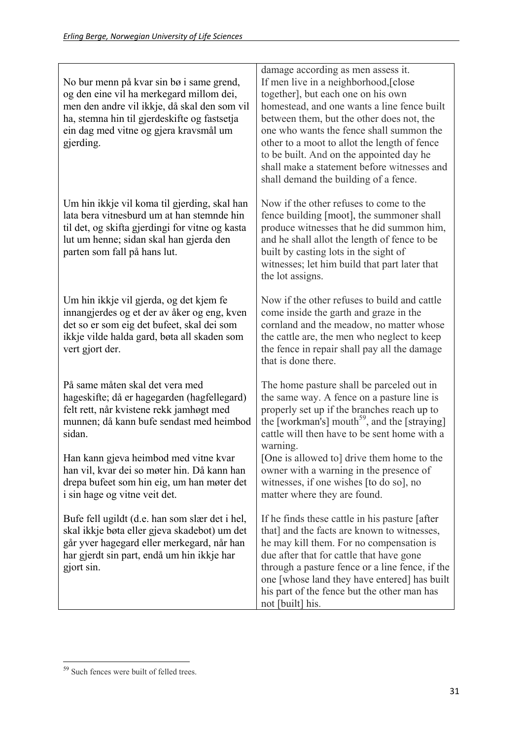| No bur menn på kvar sin bø i same grend,<br>og den eine vil ha merkegard millom dei,<br>men den andre vil ikkje, då skal den som vil<br>ha, stemna hin til gjerdeskifte og fastsetja<br>ein dag med vitne og gjera kravsmål um<br>gjerding. | damage according as men assess it.<br>If men live in a neighborhood, [close<br>together], but each one on his own<br>homestead, and one wants a line fence built<br>between them, but the other does not, the<br>one who wants the fence shall summon the<br>other to a moot to allot the length of fence<br>to be built. And on the appointed day he<br>shall make a statement before witnesses and<br>shall demand the building of a fence. |
|---------------------------------------------------------------------------------------------------------------------------------------------------------------------------------------------------------------------------------------------|-----------------------------------------------------------------------------------------------------------------------------------------------------------------------------------------------------------------------------------------------------------------------------------------------------------------------------------------------------------------------------------------------------------------------------------------------|
| Um hin ikkje vil koma til gjerding, skal han<br>lata bera vitnesburd um at han stemnde hin<br>til det, og skifta gjerdingi for vitne og kasta<br>lut um henne; sidan skal han gjerda den<br>parten som fall på hans lut.                    | Now if the other refuses to come to the<br>fence building [moot], the summoner shall<br>produce witnesses that he did summon him,<br>and he shall allot the length of fence to be<br>built by casting lots in the sight of<br>witnesses; let him build that part later that<br>the lot assigns.                                                                                                                                               |
| Um hin ikkje vil gjerda, og det kjem fe<br>innangjerdes og et der av åker og eng, kven<br>det so er som eig det bufeet, skal dei som<br>ikkje vilde halda gard, bøta all skaden som<br>vert gjort der.                                      | Now if the other refuses to build and cattle<br>come inside the garth and graze in the<br>cornland and the meadow, no matter whose<br>the cattle are, the men who neglect to keep<br>the fence in repair shall pay all the damage<br>that is done there.                                                                                                                                                                                      |
| På same måten skal det vera med<br>hageskifte; då er hagegarden (hagfellegard)<br>felt rett, når kvistene rekk jamhøgt med<br>munnen; då kann bufe sendast med heimbod<br>sidan.                                                            | The home pasture shall be parceled out in<br>the same way. A fence on a pasture line is<br>properly set up if the branches reach up to<br>the [workman's] mouth <sup>59</sup> , and the [straying]<br>cattle will then have to be sent home with a<br>warning.                                                                                                                                                                                |
| Han kann gjeva heimbod med vitne kvar<br>han vil, kvar dei so møter hin. Då kann han<br>drepa bufeet som hin eig, um han møter det<br>i sin hage og vitne veit det.                                                                         | [One is allowed to] drive them home to the<br>owner with a warning in the presence of<br>witnesses, if one wishes [to do so], no<br>matter where they are found.                                                                                                                                                                                                                                                                              |
| Bufe fell ugildt (d.e. han som slær det i hel,<br>skal ikkje bøta eller gjeva skadebot) um det<br>går yver hagegard eller merkegard, når han<br>har gjerdt sin part, endå um hin ikkje har<br>gjort sin.                                    | If he finds these cattle in his pasture [after]<br>that] and the facts are known to witnesses,<br>he may kill them. For no compensation is<br>due after that for cattle that have gone<br>through a pasture fence or a line fence, if the<br>one [whose land they have entered] has built<br>his part of the fence but the other man has<br>not [built] his.                                                                                  |

 <sup>59</sup> Such fences were built of felled trees.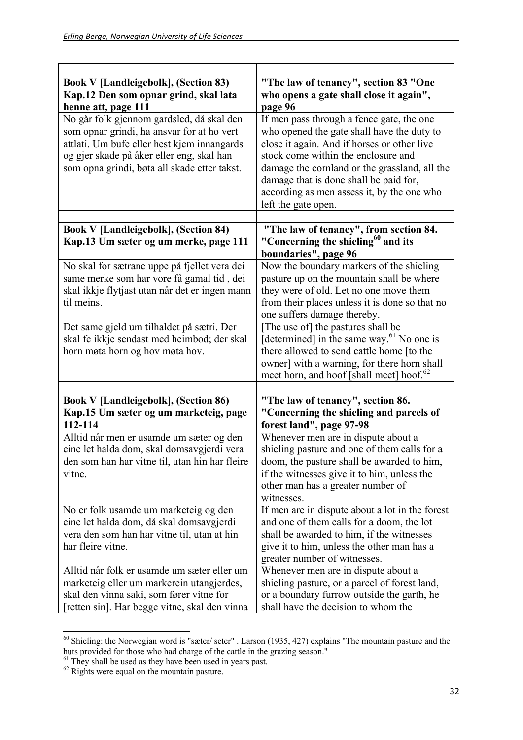| <b>Book V [Landleigebolk], (Section 83)</b><br>Kap.12 Den som opnar grind, skal lata<br>henne att, page 111                                                                                                                         | "The law of tenancy", section 83 "One<br>who opens a gate shall close it again",<br>page 96                                                                                                                                                                                                                                                   |
|-------------------------------------------------------------------------------------------------------------------------------------------------------------------------------------------------------------------------------------|-----------------------------------------------------------------------------------------------------------------------------------------------------------------------------------------------------------------------------------------------------------------------------------------------------------------------------------------------|
| No går folk gjennom gardsled, då skal den<br>som opnar grindi, ha ansvar for at ho vert<br>attlati. Um bufe eller hest kjem innangards<br>og gjer skade på åker eller eng, skal han<br>som opna grindi, bøta all skade etter takst. | If men pass through a fence gate, the one<br>who opened the gate shall have the duty to<br>close it again. And if horses or other live<br>stock come within the enclosure and<br>damage the cornland or the grassland, all the<br>damage that is done shall be paid for,<br>according as men assess it, by the one who<br>left the gate open. |
| <b>Book V [Landleigebolk], (Section 84)</b><br>Kap.13 Um sæter og um merke, page 111                                                                                                                                                | "The law of tenancy", from section 84.<br>"Concerning the shieling <sup>60</sup> and its<br>boundaries", page 96                                                                                                                                                                                                                              |
| No skal for sætrane uppe på fjellet vera dei<br>same merke som har vore få gamal tid, dei<br>skal ikkje flytjast utan når det er ingen mann<br>til meins.                                                                           | Now the boundary markers of the shieling<br>pasture up on the mountain shall be where<br>they were of old. Let no one move them<br>from their places unless it is done so that no<br>one suffers damage thereby.                                                                                                                              |
| Det same gjeld um tilhaldet på sætri. Der<br>skal fe ikkje sendast med heimbod; der skal<br>horn møta horn og hov møta hov.                                                                                                         | [The use of] the pastures shall be<br>[determined] in the same way. <sup>61</sup> No one is<br>there allowed to send cattle home [to the<br>owner] with a warning, for there horn shall<br>meet horn, and hoof [shall meet] hoof. <sup>62</sup>                                                                                               |
|                                                                                                                                                                                                                                     |                                                                                                                                                                                                                                                                                                                                               |
| <b>Book V [Landleigebolk], (Section 86)</b><br>Kap.15 Um sæter og um marketeig, page<br>112-114                                                                                                                                     | "The law of tenancy", section 86.<br>"Concerning the shieling and parcels of<br>forest land", page 97-98                                                                                                                                                                                                                                      |
| Alltid når men er usamde um sæter og den<br>eine let halda dom, skal domsavgjerdi vera<br>den som han har vitne til, utan hin har fleire<br>vitne.                                                                                  | Whenever men are in dispute about a<br>shieling pasture and one of them calls for a<br>doom, the pasture shall be awarded to him,<br>if the witnesses give it to him, unless the<br>other man has a greater number of<br>witnesses.                                                                                                           |
| No er folk usamde um marketeig og den<br>eine let halda dom, då skal domsavgjerdi<br>vera den som han har vitne til, utan at hin<br>har fleire vitne.                                                                               | If men are in dispute about a lot in the forest<br>and one of them calls for a doom, the lot<br>shall be awarded to him, if the witnesses<br>give it to him, unless the other man has a<br>greater number of witnesses.                                                                                                                       |
| Alltid når folk er usamde um sæter eller um<br>marketeig eller um markerein utangjerdes,<br>skal den vinna saki, som fører vitne for<br>[retten sin]. Har begge vitne, skal den vinna                                               | Whenever men are in dispute about a<br>shieling pasture, or a parcel of forest land,<br>or a boundary furrow outside the garth, he<br>shall have the decision to whom the                                                                                                                                                                     |

 $60$  Shieling: the Norwegian word is "sæter/ seter" . Larson (1935, 427) explains "The mountain pasture and the huts provided for those who had charge of the cattle in the grazing season."

 $61$  They shall be used as they have been used in years past.

 $62$  Rights were equal on the mountain pasture.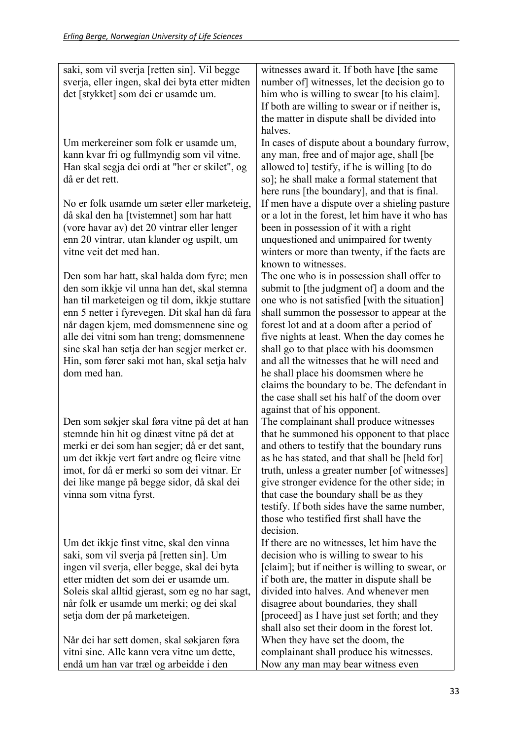| saki, som vil sverja [retten sin]. Vil begge<br>sverja, eller ingen, skal dei byta etter midten<br>det [stykket] som dei er usamde um. | witnesses award it. If both have [the same<br>number of witnesses, let the decision go to<br>him who is willing to swear [to his claim]. |
|----------------------------------------------------------------------------------------------------------------------------------------|------------------------------------------------------------------------------------------------------------------------------------------|
|                                                                                                                                        | If both are willing to swear or if neither is,<br>the matter in dispute shall be divided into                                            |
|                                                                                                                                        | halves.                                                                                                                                  |
| Um merkereiner som folk er usamde um,<br>kann kvar fri og fullmyndig som vil vitne.                                                    | In cases of dispute about a boundary furrow,<br>any man, free and of major age, shall [be                                                |
| Han skal segja dei ordi at "her er skilet", og                                                                                         | allowed to] testify, if he is willing [to do                                                                                             |
| då er det rett.                                                                                                                        | so]; he shall make a formal statement that                                                                                               |
| No er folk usamde um sæter eller marketeig,                                                                                            | here runs [the boundary], and that is final.<br>If men have a dispute over a shieling pasture                                            |
| då skal den ha [tvistemnet] som har hatt                                                                                               | or a lot in the forest, let him have it who has                                                                                          |
| (vore havar av) det 20 vintrar eller lenger                                                                                            | been in possession of it with a right                                                                                                    |
| enn 20 vintrar, utan klander og uspilt, um                                                                                             | unquestioned and unimpaired for twenty                                                                                                   |
| vitne veit det med han.                                                                                                                | winters or more than twenty, if the facts are<br>known to witnesses.                                                                     |
| Den som har hatt, skal halda dom fyre; men                                                                                             | The one who is in possession shall offer to                                                                                              |
| den som ikkje vil unna han det, skal stemna                                                                                            | submit to [the judgment of] a doom and the                                                                                               |
| han til marketeigen og til dom, ikkje stuttare<br>enn 5 netter i fyrevegen. Dit skal han då fara                                       | one who is not satisfied [with the situation]<br>shall summon the possessor to appear at the                                             |
| når dagen kjem, med domsmennene sine og                                                                                                | forest lot and at a doom after a period of                                                                                               |
| alle dei vitni som han treng; domsmennene                                                                                              | five nights at least. When the day comes he                                                                                              |
| sine skal han setja der han segjer merket er.                                                                                          | shall go to that place with his doomsmen                                                                                                 |
| Hin, som fører saki mot han, skal setja halv<br>dom med han.                                                                           | and all the witnesses that he will need and<br>he shall place his doomsmen where he                                                      |
|                                                                                                                                        | claims the boundary to be. The defendant in                                                                                              |
|                                                                                                                                        | the case shall set his half of the doom over                                                                                             |
| Den som søkjer skal føra vitne på det at han                                                                                           | against that of his opponent.                                                                                                            |
| stemnde hin hit og dinæst vitne på det at                                                                                              | The complainant shall produce witnesses<br>that he summoned his opponent to that place                                                   |
| merki er dei som han segjer; då er det sant,                                                                                           | and others to testify that the boundary runs                                                                                             |
| um det ikkje vert ført andre og fleire vitne                                                                                           | as he has stated, and that shall be [held for]                                                                                           |
| imot, for då er merki so som dei vitnar. Er<br>dei like mange på begge sidor, då skal dei                                              | truth, unless a greater number [of witnesses]<br>give stronger evidence for the other side; in                                           |
| vinna som vitna fyrst.                                                                                                                 | that case the boundary shall be as they                                                                                                  |
|                                                                                                                                        | testify. If both sides have the same number,                                                                                             |
|                                                                                                                                        | those who testified first shall have the<br>decision.                                                                                    |
| Um det ikkje finst vitne, skal den vinna                                                                                               | If there are no witnesses, let him have the                                                                                              |
| saki, som vil sverja på [retten sin]. Um                                                                                               | decision who is willing to swear to his                                                                                                  |
| ingen vil sverja, eller begge, skal dei byta                                                                                           | [claim]; but if neither is willing to swear, or                                                                                          |
| etter midten det som dei er usamde um.<br>Soleis skal alltid gjerast, som eg no har sagt,                                              | if both are, the matter in dispute shall be<br>divided into halves. And whenever men                                                     |
| når folk er usamde um merki; og dei skal                                                                                               | disagree about boundaries, they shall                                                                                                    |
| setja dom der på marketeigen.                                                                                                          | [proceed] as I have just set forth; and they                                                                                             |
|                                                                                                                                        | shall also set their doom in the forest lot.                                                                                             |
| Når dei har sett domen, skal søkjaren føra<br>vitni sine. Alle kann vera vitne um dette,                                               | When they have set the doom, the<br>complainant shall produce his witnesses.                                                             |
| endå um han var træl og arbeidde i den                                                                                                 | Now any man may bear witness even                                                                                                        |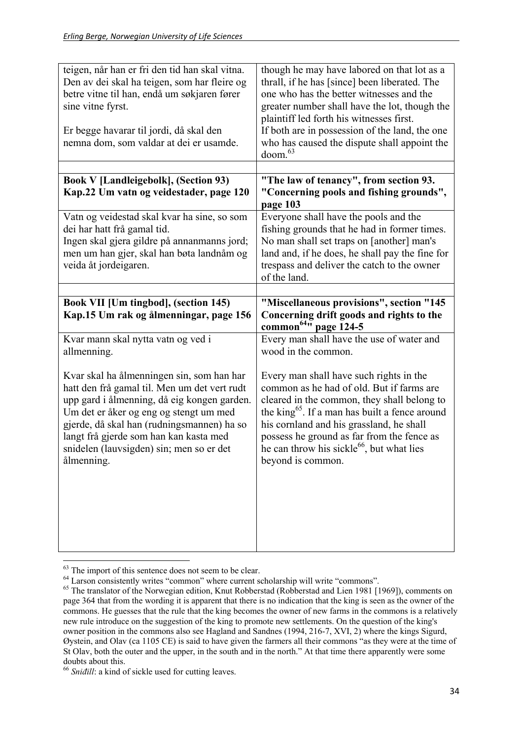| teigen, når han er fri den tid han skal vitna.<br>Den av dei skal ha teigen, som har fleire og<br>betre vitne til han, endå um søkjaren fører<br>sine vitne fyrst.<br>Er begge havarar til jordi, då skal den<br>nemna dom, som valdar at dei er usamde.                                                                             | though he may have labored on that lot as a<br>thrall, if he has [since] been liberated. The<br>one who has the better witnesses and the<br>greater number shall have the lot, though the<br>plaintiff led forth his witnesses first.<br>If both are in possession of the land, the one<br>who has caused the dispute shall appoint the<br>doom. <sup>63</sup>            |
|--------------------------------------------------------------------------------------------------------------------------------------------------------------------------------------------------------------------------------------------------------------------------------------------------------------------------------------|---------------------------------------------------------------------------------------------------------------------------------------------------------------------------------------------------------------------------------------------------------------------------------------------------------------------------------------------------------------------------|
|                                                                                                                                                                                                                                                                                                                                      |                                                                                                                                                                                                                                                                                                                                                                           |
| <b>Book V [Landleigebolk], (Section 93)</b><br>Kap.22 Um vatn og veidestader, page 120                                                                                                                                                                                                                                               | "The law of tenancy", from section 93.<br>"Concerning pools and fishing grounds",<br>page 103                                                                                                                                                                                                                                                                             |
| Vatn og veidestad skal kvar ha sine, so som<br>dei har hatt frå gamal tid.<br>Ingen skal gjera gildre på annanmanns jord;<br>men um han gjer, skal han bøta landnåm og<br>veida åt jordeigaren.                                                                                                                                      | Everyone shall have the pools and the<br>fishing grounds that he had in former times.<br>No man shall set traps on [another] man's<br>land and, if he does, he shall pay the fine for<br>trespass and deliver the catch to the owner<br>of the land.                                                                                                                      |
|                                                                                                                                                                                                                                                                                                                                      |                                                                                                                                                                                                                                                                                                                                                                           |
| Book VII [Um tingbod], (section 145)<br>Kap.15 Um rak og ålmenningar, page 156                                                                                                                                                                                                                                                       | "Miscellaneous provisions", section "145<br>Concerning drift goods and rights to the                                                                                                                                                                                                                                                                                      |
|                                                                                                                                                                                                                                                                                                                                      |                                                                                                                                                                                                                                                                                                                                                                           |
| Kvar mann skal nytta vatn og ved i<br>allmenning.                                                                                                                                                                                                                                                                                    | common <sup>64</sup> " page 124-5<br>Every man shall have the use of water and<br>wood in the common.                                                                                                                                                                                                                                                                     |
| Kvar skal ha ålmenningen sin, som han har<br>hatt den frå gamal til. Men um det vert rudt<br>upp gard i ålmenning, då eig kongen garden.<br>Um det er åker og eng og stengt um med<br>gjerde, då skal han (rudningsmannen) ha so<br>langt frå gjerde som han kan kasta med<br>snidelen (lauvsigden) sin; men so er det<br>ålmenning. | Every man shall have such rights in the<br>common as he had of old. But if farms are<br>cleared in the common, they shall belong to<br>the king <sup>65</sup> . If a man has built a fence around<br>his cornland and his grassland, he shall<br>possess he ground as far from the fence as<br>he can throw his sickle <sup>66</sup> , but what lies<br>beyond is common. |

  $63$  The import of this sentence does not seem to be clear.

<sup>&</sup>lt;sup>64</sup> Larson consistently writes "common" where current scholarship will write "commons".

<sup>&</sup>lt;sup>65</sup> The translator of the Norwegian edition, Knut Robberstad (Robberstad and Lien 1981 [1969]), comments on page 364 that from the wording it is apparent that there is no indication that the king is seen as the owner of the commons. He guesses that the rule that the king becomes the owner of new farms in the commons is a relatively new rule introduce on the suggestion of the king to promote new settlements. On the question of the king's owner position in the commons also see Hagland and Sandnes (1994, 216-7, XVI, 2) where the kings Sigurd, Øystein, and Olav (ca 1105 CE) is said to have given the farmers all their commons "as they were at the time of St Olav, both the outer and the upper, in the south and in the north." At that time there apparently were some doubts about this.

<sup>66</sup> *Sniđill*: a kind of sickle used for cutting leaves.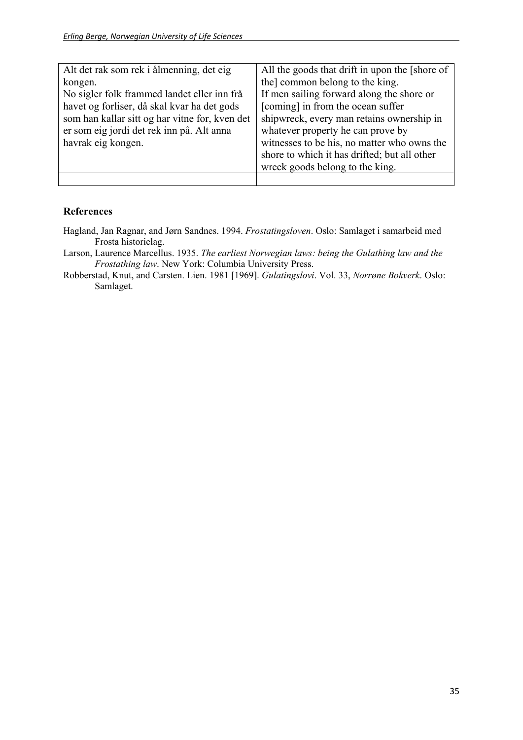| Alt det rak som rek i ålmenning, det eig       | All the goods that drift in upon the [shore of |
|------------------------------------------------|------------------------------------------------|
| kongen.                                        | the common belong to the king.                 |
| No sigler folk frammed landet eller inn frå    | If men sailing forward along the shore or      |
| havet og forliser, då skal kvar ha det gods    | [coming] in from the ocean suffer              |
| som han kallar sitt og har vitne for, kven det | shipwreck, every man retains ownership in      |
| er som eig jordi det rek inn på. Alt anna      | whatever property he can prove by              |
| havrak eig kongen.                             | witnesses to be his, no matter who owns the    |
|                                                | shore to which it has drifted; but all other   |
|                                                | wreck goods belong to the king.                |
|                                                |                                                |

#### **References**

- Hagland, Jan Ragnar, and Jørn Sandnes. 1994. *Frostatingsloven*. Oslo: Samlaget i samarbeid med Frosta historielag.
- Larson, Laurence Marcellus. 1935. *The earliest Norwegian laws: being the Gulathing law and the Frostathing law*. New York: Columbia University Press.
- Robberstad, Knut, and Carsten. Lien. 1981 [1969]. *Gulatingslovi*. Vol. 33, *Norrøne Bokverk*. Oslo: Samlaget.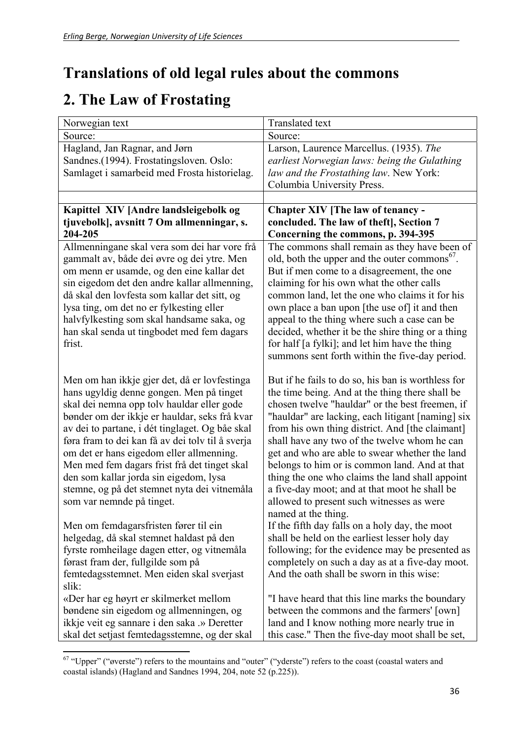## **Translations of old legal rules about the commons**

## **2. The Law of Frostating**

| Norwegian text                                   | Translated text                                           |
|--------------------------------------------------|-----------------------------------------------------------|
| Source:                                          | Source:                                                   |
| Hagland, Jan Ragnar, and Jørn                    | Larson, Laurence Marcellus. (1935). The                   |
| Sandnes. (1994). Frostatingsloven. Oslo:         | earliest Norwegian laws: being the Gulathing              |
| Samlaget i samarbeid med Frosta historielag.     | law and the Frostathing law. New York:                    |
|                                                  | Columbia University Press.                                |
|                                                  |                                                           |
| Kapittel XIV [Andre landsleigebolk og            | Chapter XIV [The law of tenancy -                         |
| tjuvebolk], avsnitt 7 Om allmenningar, s.        | concluded. The law of theft], Section 7                   |
| 204-205                                          | Concerning the commons, p. 394-395                        |
| Allmenningane skal vera som dei har vore frå     | The commons shall remain as they have been of             |
| gammalt av, både dei øvre og dei ytre. Men       | old, both the upper and the outer commons <sup>67</sup> . |
| om menn er usamde, og den eine kallar det        | But if men come to a disagreement, the one                |
| sin eigedom det den andre kallar allmenning,     | claiming for his own what the other calls                 |
| då skal den lovfesta som kallar det sitt, og     | common land, let the one who claims it for his            |
| lysa ting, om det no er fylkesting eller         | own place a ban upon [the use of] it and then             |
| halvfylkesting som skal handsame saka, og        | appeal to the thing where such a case can be              |
| han skal senda ut tingbodet med fem dagars       | decided, whether it be the shire thing or a thing         |
| frist.                                           | for half [a fylki]; and let him have the thing            |
|                                                  | summons sent forth within the five-day period.            |
|                                                  |                                                           |
| Men om han ikkje gjer det, då er lovfestinga     | But if he fails to do so, his ban is worthless for        |
| hans ugyldig denne gongen. Men på tinget         | the time being. And at the thing there shall be           |
| skal dei nemna opp tolv hauldar eller gode       | chosen twelve "hauldar" or the best freemen, if           |
| bønder om der ikkje er hauldar, seks frå kvar    | "hauldar" are lacking, each litigant [naming] six         |
| av dei to partane, i dét tinglaget. Og båe skal  | from his own thing district. And [the claimant]           |
| føra fram to dei kan få av dei tolv til å sverja | shall have any two of the twelve whom he can              |
| om det er hans eigedom eller allmenning.         | get and who are able to swear whether the land            |
| Men med fem dagars frist frå det tinget skal     | belongs to him or is common land. And at that             |
| den som kallar jorda sin eigedom, lysa           | thing the one who claims the land shall appoint           |
| stemne, og på det stemnet nyta dei vitnemåla     | a five-day moot; and at that moot he shall be             |
| som var nemnde på tinget.                        | allowed to present such witnesses as were                 |
|                                                  | named at the thing.                                       |
| Men om femdagarsfristen fører til ein            | If the fifth day falls on a holy day, the moot            |
| helgedag, då skal stemnet haldast på den         | shall be held on the earliest lesser holy day             |
| fyrste romheilage dagen etter, og vitnemåla      | following; for the evidence may be presented as           |
| førast fram der, fullgilde som på                | completely on such a day as at a five-day moot.           |
| femtedagsstemnet. Men eiden skal sverjast        | And the oath shall be sworn in this wise:                 |
| slik:                                            |                                                           |
| «Der har eg høyrt er skilmerket mellom           | "I have heard that this line marks the boundary           |
| bøndene sin eigedom og allmenningen, og          | between the commons and the farmers' [own]                |
| ikkje veit eg sannare i den saka .» Deretter     | land and I know nothing more nearly true in               |
| skal det setjast femtedagsstemne, og der skal    | this case." Then the five-day moot shall be set,          |

  $67$  "Upper" ("øverste") refers to the mountains and "outer" ("yderste") refers to the coast (coastal waters and coastal islands) (Hagland and Sandnes 1994, 204, note 52 (p.225)).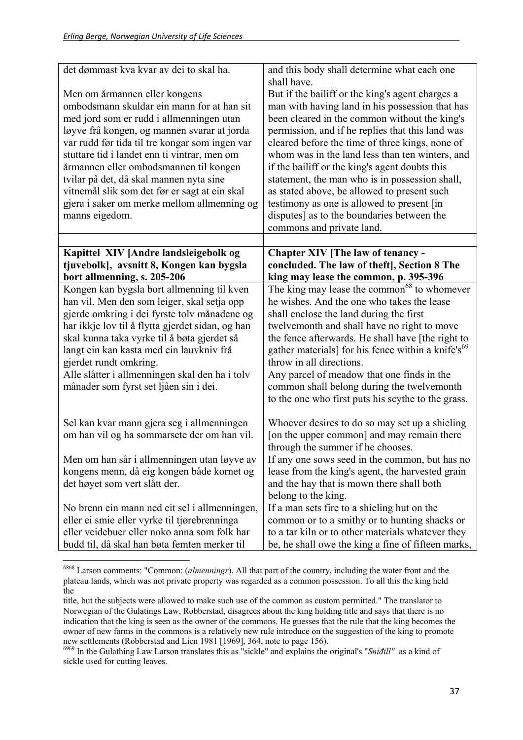| det dømmast kva kvar av dei to skal ha.                                                                                                                                                                                                                                                                                                                                                                                                                                         | and this body shall determine what each one<br>shall have.                                                                                                                                                                                                                                                                                                                                                                                                                                                                                                                                 |
|---------------------------------------------------------------------------------------------------------------------------------------------------------------------------------------------------------------------------------------------------------------------------------------------------------------------------------------------------------------------------------------------------------------------------------------------------------------------------------|--------------------------------------------------------------------------------------------------------------------------------------------------------------------------------------------------------------------------------------------------------------------------------------------------------------------------------------------------------------------------------------------------------------------------------------------------------------------------------------------------------------------------------------------------------------------------------------------|
| Men om årmannen eller kongens<br>ombodsmann skuldar ein mann for at han sit<br>med jord som er rudd i allmenningen utan<br>løyve frå kongen, og mannen svarar at jorda<br>var rudd før tida til tre kongar som ingen var<br>stuttare tid i landet enn ti vintrar, men om<br>årmannen eller ombodsmannen til kongen<br>tvilar på det, då skal mannen nyta sine<br>vitnemål slik som det før er sagt at ein skal<br>gjera i saker om merke mellom allmenning og<br>manns eigedom. | But if the bailiff or the king's agent charges a<br>man with having land in his possession that has<br>been cleared in the common without the king's<br>permission, and if he replies that this land was<br>cleared before the time of three kings, none of<br>whom was in the land less than ten winters, and<br>if the bailiff or the king's agent doubts this<br>statement, the man who is in possession shall,<br>as stated above, be allowed to present such<br>testimony as one is allowed to present [in<br>disputes] as to the boundaries between the<br>commons and private land. |
| Kapittel XIV [Andre landsleigebolk og                                                                                                                                                                                                                                                                                                                                                                                                                                           | Chapter XIV [The law of tenancy -                                                                                                                                                                                                                                                                                                                                                                                                                                                                                                                                                          |
| tjuvebolk], avsnitt 8, Kongen kan bygsla<br>bort allmenning, s. 205-206                                                                                                                                                                                                                                                                                                                                                                                                         | concluded. The law of theft], Section 8 The<br>king may lease the common, p. 395-396                                                                                                                                                                                                                                                                                                                                                                                                                                                                                                       |
| Kongen kan bygsla bort allmenning til kven                                                                                                                                                                                                                                                                                                                                                                                                                                      | The king may lease the common <sup>68</sup> to whomever                                                                                                                                                                                                                                                                                                                                                                                                                                                                                                                                    |
| han vil. Men den som leiger, skal setja opp                                                                                                                                                                                                                                                                                                                                                                                                                                     | he wishes. And the one who takes the lease                                                                                                                                                                                                                                                                                                                                                                                                                                                                                                                                                 |
| gjerde omkring i dei fyrste tolv månadene og<br>har ikkje lov til å flytta gjerdet sidan, og han<br>skal kunna taka vyrke til å bøta gjerdet så<br>langt ein kan kasta med ein lauvkniv frå<br>gjerdet rundt omkring.<br>Alle slåtter i allmenningen skal den ha i tolv                                                                                                                                                                                                         | shall enclose the land during the first<br>twelvemonth and shall have no right to move<br>the fence afterwards. He shall have [the right to<br>gather materials] for his fence within a knife's <sup>69</sup><br>throw in all directions.<br>Any parcel of meadow that one finds in the                                                                                                                                                                                                                                                                                                    |
| månader som fyrst set ljåen sin i dei.                                                                                                                                                                                                                                                                                                                                                                                                                                          | common shall belong during the twelvemonth<br>to the one who first puts his scythe to the grass.                                                                                                                                                                                                                                                                                                                                                                                                                                                                                           |
| Sel kan kvar mann gjera seg i allmenningen<br>om han vil og ha sommarsete der om han vil.                                                                                                                                                                                                                                                                                                                                                                                       | Whoever desires to do so may set up a shieling<br>[on the upper common] and may remain there<br>through the summer if he chooses.                                                                                                                                                                                                                                                                                                                                                                                                                                                          |
| Men om han sår i allmenningen utan løyve av                                                                                                                                                                                                                                                                                                                                                                                                                                     | If any one sows seed in the common, but has no                                                                                                                                                                                                                                                                                                                                                                                                                                                                                                                                             |
| kongens menn, då eig kongen både kornet og<br>det høyet som vert slått der.                                                                                                                                                                                                                                                                                                                                                                                                     | lease from the king's agent, the harvested grain<br>and the hay that is mown there shall both<br>belong to the king.                                                                                                                                                                                                                                                                                                                                                                                                                                                                       |
| No brenn ein mann ned eit sel i allmenningen,                                                                                                                                                                                                                                                                                                                                                                                                                                   | If a man sets fire to a shieling hut on the                                                                                                                                                                                                                                                                                                                                                                                                                                                                                                                                                |
| eller ei smie eller vyrke til tjørebrenninga                                                                                                                                                                                                                                                                                                                                                                                                                                    | common or to a smithy or to hunting shacks or                                                                                                                                                                                                                                                                                                                                                                                                                                                                                                                                              |
| eller veidebuer eller noko anna som folk har                                                                                                                                                                                                                                                                                                                                                                                                                                    | to a tar kiln or to other materials whatever they                                                                                                                                                                                                                                                                                                                                                                                                                                                                                                                                          |
| budd til, då skal han bøta femten merker til                                                                                                                                                                                                                                                                                                                                                                                                                                    | be, he shall owe the king a fine of fifteen marks,                                                                                                                                                                                                                                                                                                                                                                                                                                                                                                                                         |
|                                                                                                                                                                                                                                                                                                                                                                                                                                                                                 |                                                                                                                                                                                                                                                                                                                                                                                                                                                                                                                                                                                            |

<sup>6868</sup> Larson comments: "Common: (*almenningr*). All that part of the country, including the water front and the plateau lands, which was not private property was regarded as a common possession. To all this the king held the

title, but the subjects were allowed to make such use of the common as custom permitted." The translator to Norwegian of the Gulatings Law, Robberstad, disagrees about the king holding title and says that there is no indication that the king is seen as the owner of the commons. He guesses that the rule that the king becomes the owner of new farms in the commons is a relatively new rule introduce on the suggestion of the king to promote new settlements (Robberstad and Lien 1981 [1969], 364, note to page 156).

<sup>6969</sup> In the Gulathing Law Larson translates this as "sickle" and explains the original's "*Sniđill"* as a kind of sickle used for cutting leaves.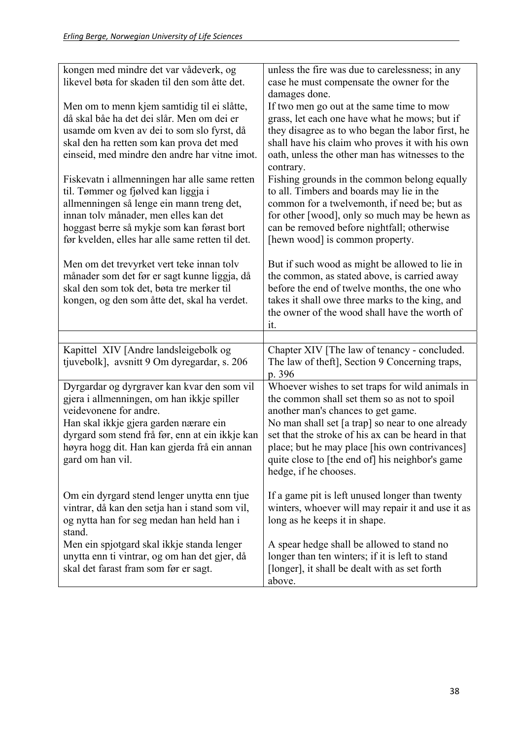| kongen med mindre det var vådeverk, og<br>likevel bøta for skaden til den som åtte det.                                                                                                                                                                                                                                                                                                                                                                                                                              | unless the fire was due to carelessness; in any<br>case he must compensate the owner for the                                                                                                                                                                                                                                                                                                                                                                                                                                                                       |
|----------------------------------------------------------------------------------------------------------------------------------------------------------------------------------------------------------------------------------------------------------------------------------------------------------------------------------------------------------------------------------------------------------------------------------------------------------------------------------------------------------------------|--------------------------------------------------------------------------------------------------------------------------------------------------------------------------------------------------------------------------------------------------------------------------------------------------------------------------------------------------------------------------------------------------------------------------------------------------------------------------------------------------------------------------------------------------------------------|
| Men om to menn kjem samtidig til ei slåtte,<br>då skal båe ha det dei slår. Men om dei er<br>usamde om kven av dei to som slo fyrst, då<br>skal den ha retten som kan prova det med<br>einseid, med mindre den andre har vitne imot.<br>Fiskevatn i allmenningen har alle same retten<br>til. Tømmer og fjølved kan liggja i<br>allmenningen så lenge ein mann treng det,<br>innan tolv månader, men elles kan det<br>hoggast berre så mykje som kan førast bort<br>før kvelden, elles har alle same retten til det. | damages done.<br>If two men go out at the same time to mow<br>grass, let each one have what he mows; but if<br>they disagree as to who began the labor first, he<br>shall have his claim who proves it with his own<br>oath, unless the other man has witnesses to the<br>contrary.<br>Fishing grounds in the common belong equally<br>to all. Timbers and boards may lie in the<br>common for a twelvemonth, if need be; but as<br>for other [wood], only so much may be hewn as<br>can be removed before nightfall; otherwise<br>[hewn wood] is common property. |
| Men om det trevyrket vert teke innan tolv<br>månader som det før er sagt kunne liggja, då<br>skal den som tok det, bøta tre merker til<br>kongen, og den som åtte det, skal ha verdet.                                                                                                                                                                                                                                                                                                                               | But if such wood as might be allowed to lie in<br>the common, as stated above, is carried away<br>before the end of twelve months, the one who<br>takes it shall owe three marks to the king, and<br>the owner of the wood shall have the worth of<br>it.                                                                                                                                                                                                                                                                                                          |
|                                                                                                                                                                                                                                                                                                                                                                                                                                                                                                                      |                                                                                                                                                                                                                                                                                                                                                                                                                                                                                                                                                                    |
| Kapittel XIV [Andre landsleigebolk og<br>tjuvebolk], avsnitt 9 Om dyregardar, s. 206                                                                                                                                                                                                                                                                                                                                                                                                                                 | Chapter XIV [The law of tenancy - concluded.<br>The law of theft], Section 9 Concerning traps,<br>p. 396                                                                                                                                                                                                                                                                                                                                                                                                                                                           |
| Dyrgardar og dyrgraver kan kvar den som vil<br>gjera i allmenningen, om han ikkje spiller<br>veidevonene for andre.<br>Han skal ikkje gjera garden nærare ein<br>dyrgard som stend frå før, enn at ein ikkje kan<br>høyra hogg dit. Han kan gjerda frå ein annan<br>gard om han vil.                                                                                                                                                                                                                                 | Whoever wishes to set traps for wild animals in<br>the common shall set them so as not to spoil<br>another man's chances to get game.<br>No man shall set [a trap] so near to one already<br>set that the stroke of his ax can be heard in that<br>place; but he may place [his own contrivances]<br>quite close to [the end of] his neighbor's game<br>hedge, if he chooses.                                                                                                                                                                                      |
| Om ein dyrgard stend lenger unytta enn tjue<br>vintrar, då kan den setja han i stand som vil,<br>og nytta han for seg medan han held han i                                                                                                                                                                                                                                                                                                                                                                           | If a game pit is left unused longer than twenty<br>winters, whoever will may repair it and use it as<br>long as he keeps it in shape.                                                                                                                                                                                                                                                                                                                                                                                                                              |
| stand.<br>Men ein spjotgard skal ikkje standa lenger<br>unytta enn ti vintrar, og om han det gjer, då<br>skal det farast fram som før er sagt.                                                                                                                                                                                                                                                                                                                                                                       | A spear hedge shall be allowed to stand no<br>longer than ten winters; if it is left to stand<br>[longer], it shall be dealt with as set forth<br>above.                                                                                                                                                                                                                                                                                                                                                                                                           |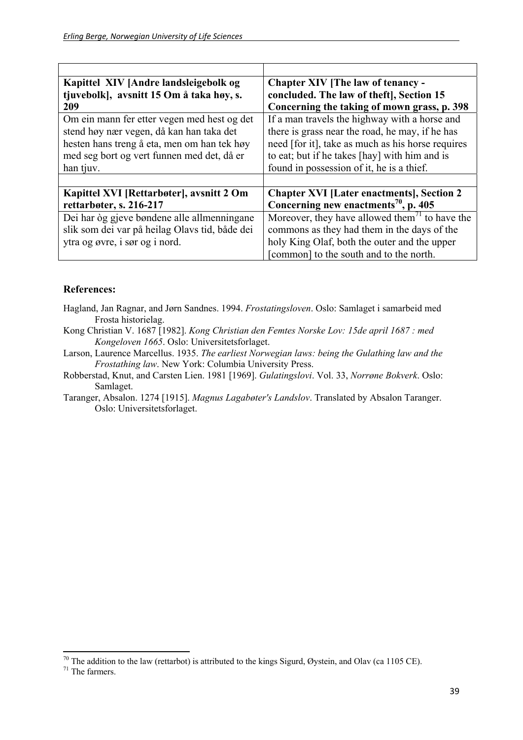| Kapittel XIV [Andre landsleigebolk og          | Chapter XIV [The law of tenancy -                          |
|------------------------------------------------|------------------------------------------------------------|
| tjuvebolk], avsnitt 15 Om å taka høy, s.       | concluded. The law of theft], Section 15                   |
| 209                                            | Concerning the taking of mown grass, p. 398                |
| Om ein mann fer etter vegen med hest og det    | If a man travels the highway with a horse and              |
| stend høy nær vegen, då kan han taka det       | there is grass near the road, he may, if he has            |
| hesten hans treng å eta, men om han tek høy    | need [for it], take as much as his horse requires          |
| med seg bort og vert funnen med det, då er     | to eat; but if he takes [hay] with him and is              |
| han tjuv.                                      | found in possession of it, he is a thief.                  |
|                                                |                                                            |
| Kapittel XVI [Rettarbøter], avsnitt 2 Om       | <b>Chapter XVI [Later enactments], Section 2</b>           |
| rettarbøter, s. 216-217                        | Concerning new enactments <sup>70</sup> , p. 405           |
| Dei har òg gjeve bøndene alle allmenningane    | Moreover, they have allowed them <sup>71</sup> to have the |
| slik som dei var på heilag Olavs tid, både dei | commons as they had them in the days of the                |
| ytra og øvre, i sør og i nord.                 | holy King Olaf, both the outer and the upper               |
|                                                | [common] to the south and to the north.                    |

#### **References:**

- Hagland, Jan Ragnar, and Jørn Sandnes. 1994. *Frostatingsloven*. Oslo: Samlaget i samarbeid med Frosta historielag.
- Kong Christian V. 1687 [1982]. *Kong Christian den Femtes Norske Lov: 15de april 1687 : med Kongeloven 1665*. Oslo: Universitetsforlaget.

Larson, Laurence Marcellus. 1935. *The earliest Norwegian laws: being the Gulathing law and the Frostathing law*. New York: Columbia University Press.

Robberstad, Knut, and Carsten Lien. 1981 [1969]. *Gulatingslovi*. Vol. 33, *Norrøne Bokverk*. Oslo: Samlaget.

Taranger, Absalon. 1274 [1915]. *Magnus Lagabøter's Landslov*. Translated by Absalon Taranger. Oslo: Universitetsforlaget.

 $70$  The addition to the law (rettarbot) is attributed to the kings Sigurd, Øystein, and Olav (ca 1105 CE).

 $71$  The farmers.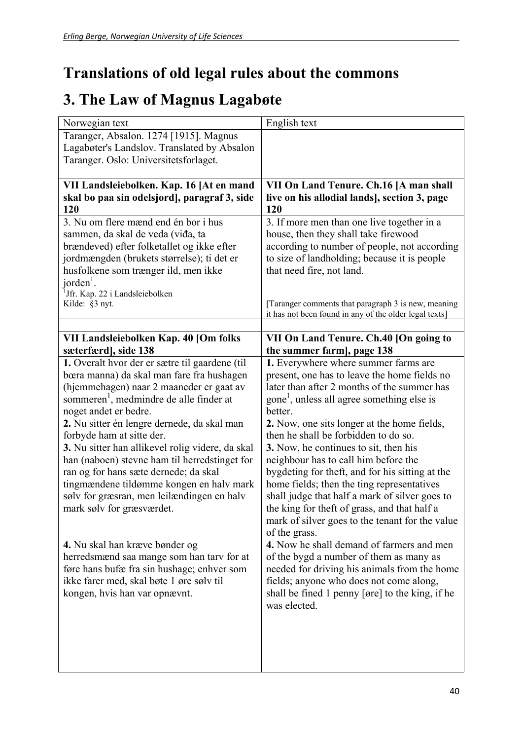## **Translations of old legal rules about the commons**

### **3. The Law of Magnus Lagabøte**

| Norwegian text                                      | English text                                                                                                  |
|-----------------------------------------------------|---------------------------------------------------------------------------------------------------------------|
| Taranger, Absalon. 1274 [1915]. Magnus              |                                                                                                               |
| Lagabøter's Landslov. Translated by Absalon         |                                                                                                               |
| Taranger. Oslo: Universitetsforlaget.               |                                                                                                               |
|                                                     |                                                                                                               |
| VII Landsleiebolken. Kap. 16 [At en mand            | VII On Land Tenure. Ch.16 [A man shall                                                                        |
| skal bo paa sin odelsjord], paragraf 3, side        | live on his allodial lands], section 3, page                                                                  |
| 120                                                 | 120                                                                                                           |
| 3. Nu om flere mænd end én bor i hus                | 3. If more men than one live together in a                                                                    |
| sammen, da skal de veda (viđa, ta                   | house, then they shall take firewood                                                                          |
| brændeved) efter folketallet og ikke efter          | according to number of people, not according                                                                  |
| jordmængden (brukets størrelse); ti det er          | to size of landholding; because it is people                                                                  |
| husfolkene som trænger ild, men ikke                | that need fire, not land.                                                                                     |
| $jorden1$ .                                         |                                                                                                               |
| <sup>1</sup> Jfr. Kap. 22 i Landsleiebolken         |                                                                                                               |
| Kilde: §3 nyt.                                      | [Taranger comments that paragraph 3 is new, meaning<br>it has not been found in any of the older legal texts] |
|                                                     |                                                                                                               |
| VII Landsleiebolken Kap. 40 [Om folks               | VII On Land Tenure. Ch.40 [On going to                                                                        |
| sæterfærd], side 138                                | the summer farm], page 138                                                                                    |
| 1. Overalt hvor der er sætre til gaardene (til      | 1. Everywhere where summer farms are                                                                          |
| bœra manna) da skal man fare fra hushagen           | present, one has to leave the home fields no                                                                  |
| (hjemmehagen) naar 2 maaneder er gaat av            | later than after 2 months of the summer has                                                                   |
| sommeren <sup>1</sup> , medmindre de alle finder at | gone <sup>1</sup> , unless all agree something else is                                                        |
| noget andet er bedre.                               | better.                                                                                                       |
| 2. Nu sitter én lengre dernede, da skal man         | 2. Now, one sits longer at the home fields,                                                                   |
| forbyde ham at sitte der.                           | then he shall be forbidden to do so.                                                                          |
| 3. Nu sitter han allikevel rolig videre, da skal    | 3. Now, he continues to sit, then his                                                                         |
| han (naboen) stevne ham til herredstinget for       | neighbour has to call him before the                                                                          |
| ran og for hans sæte dernede; da skal               | bygdeting for theft, and for his sitting at the                                                               |
| tingmændene tildømme kongen en halv mark            | home fields; then the ting representatives                                                                    |
| sølv for græsran, men leilændingen en halv          | shall judge that half a mark of silver goes to                                                                |
| mark sølv for græsværdet.                           | the king for theft of grass, and that half a                                                                  |
|                                                     | mark of silver goes to the tenant for the value                                                               |
|                                                     | of the grass.                                                                                                 |
| 4. Nu skal han kræve bønder og                      | 4. Now he shall demand of farmers and men                                                                     |
| herredsmænd saa mange som han tarv for at           | of the bygd a number of them as many as                                                                       |
| føre hans bufæ fra sin hushage; enhver som          | needed for driving his animals from the home                                                                  |
| ikke farer med, skal bøte 1 øre sølv til            | fields; anyone who does not come along,                                                                       |
| kongen, hvis han var opnævnt.                       | shall be fined 1 penny [øre] to the king, if he                                                               |
|                                                     | was elected.                                                                                                  |
|                                                     |                                                                                                               |
|                                                     |                                                                                                               |
|                                                     |                                                                                                               |
|                                                     |                                                                                                               |
|                                                     |                                                                                                               |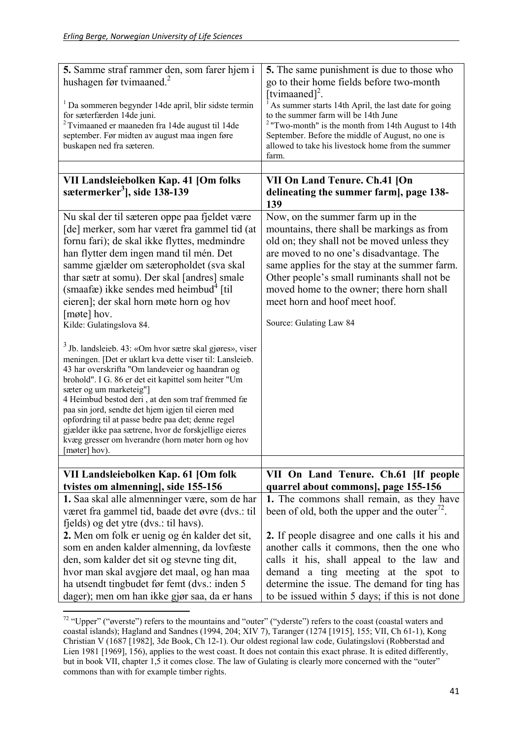| 5. Samme straf rammer den, som farer hjem i<br>hushagen før tvimaaned. $^{2}$<br><sup>1</sup> Da sommeren begynder 14de april, blir sidste termin<br>for sæterfærden 14de juni.<br>$2$ Tvimaaned er maaneden fra 14de august til 14de<br>september. Før midten av august maa ingen føre<br>buskapen ned fra sæteren.<br>VII Landsleiebolken Kap. 41 [Om folks                                                                                                                                                                                                          | 5. The same punishment is due to those who<br>go to their home fields before two-month<br>[tvimaaned] <sup>2</sup> .<br>As summer starts 14th April, the last date for going<br>to the summer farm will be 14th June<br>$2$ "Two-month" is the month from 14th August to 14th<br>September. Before the middle of August, no one is<br>allowed to take his livestock home from the summer<br>farm.<br>VII On Land Tenure. Ch.41 [On |
|------------------------------------------------------------------------------------------------------------------------------------------------------------------------------------------------------------------------------------------------------------------------------------------------------------------------------------------------------------------------------------------------------------------------------------------------------------------------------------------------------------------------------------------------------------------------|------------------------------------------------------------------------------------------------------------------------------------------------------------------------------------------------------------------------------------------------------------------------------------------------------------------------------------------------------------------------------------------------------------------------------------|
| sætermerker <sup>3</sup> , side 138-139                                                                                                                                                                                                                                                                                                                                                                                                                                                                                                                                | delineating the summer farm], page 138-<br>139                                                                                                                                                                                                                                                                                                                                                                                     |
| Nu skal der til sæteren oppe paa fjeldet være<br>[de] merker, som har været fra gammel tid (at<br>fornu fari); de skal ikke flyttes, medmindre<br>han flytter dem ingen mand til mén. Det<br>samme gjælder om sæteropholdet (sva skal<br>thar sætr at somu). Der skal [andres] smale<br>(smaafæ) ikke sendes med heimbud <sup>4</sup> [til]<br>eieren]; der skal horn møte horn og hov<br>[møte] hov.<br>Kilde: Gulatingslova 84.                                                                                                                                      | Now, on the summer farm up in the<br>mountains, there shall be markings as from<br>old on; they shall not be moved unless they<br>are moved to no one's disadvantage. The<br>same applies for the stay at the summer farm.<br>Other people's small ruminants shall not be<br>moved home to the owner; there horn shall<br>meet horn and hoof meet hoof.<br>Source: Gulating Law 84                                                 |
| <sup>3</sup> Jb. landsleieb. 43: «Om hvor sætre skal gjøres», viser<br>meningen. [Det er uklart kva dette viser til: Lansleieb.<br>43 har overskrifta "Om landeveier og haandran og<br>brohold". I G. 86 er det eit kapittel som heiter "Um<br>sæter og um marketeig"]<br>4 Heimbud bestod deri, at den som traf fremmed fæ<br>paa sin jord, sendte det hjem igjen til eieren med<br>opfordring til at passe bedre paa det; denne regel<br>gjælder ikke paa sætrene, hvor de forskjellige eieres<br>kvæg gresser om hverandre (horn møter horn og hov<br>[møter] hov). |                                                                                                                                                                                                                                                                                                                                                                                                                                    |
| VII Landsleiebolken Kap. 61 [Om folk]                                                                                                                                                                                                                                                                                                                                                                                                                                                                                                                                  | VII On Land Tenure. Ch.61 [If people                                                                                                                                                                                                                                                                                                                                                                                               |
| tvistes om almenning], side 155-156<br>1. Saa skal alle almenninger være, som de har<br>været fra gammel tid, baade det øvre (dvs.: til<br>fjelds) og det ytre (dvs.: til havs).<br>2. Men om folk er uenig og én kalder det sit,<br>som en anden kalder almenning, da lovfæste<br>den, som kalder det sit og stevne ting dit,<br>hvor man skal avgjøre det maal, og han maa                                                                                                                                                                                           | quarrel about commons], page 155-156<br>1. The commons shall remain, as they have<br>been of old, both the upper and the outer $^{1/2}$ .<br>2. If people disagree and one calls it his and<br>another calls it commons, then the one who<br>calls it his, shall appeal to the law and<br>demand a ting meeting at the spot to                                                                                                     |
| ha utsendt tingbudet før femt (dvs.: inden 5<br>dager); men om han ikke gjør saa, da er hans                                                                                                                                                                                                                                                                                                                                                                                                                                                                           | determine the issue. The demand for ting has<br>to be issued within 5 days; if this is not done                                                                                                                                                                                                                                                                                                                                    |

 <sup>72</sup> "Upper" ("øverste") refers to the mountains and "outer" ("yderste") refers to the coast (coastal waters and coastal islands); Hagland and Sandnes (1994, 204; XIV 7), Taranger (1274 [1915], 155; VII, Ch 61-1), Kong Christian V (1687 [1982], 3de Book, Ch 12-1). Our oldest regional law code, Gulatingslovi (Robberstad and Lien 1981 [1969], 156), applies to the west coast. It does not contain this exact phrase. It is edited differently, but in book VII, chapter 1,5 it comes close. The law of Gulating is clearly more concerned with the "outer" commons than with for example timber rights.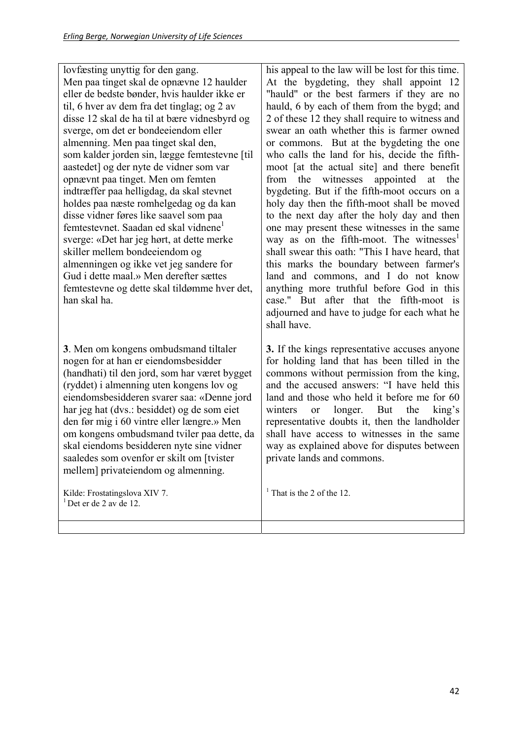lovfæsting unyttig for den gang. Men paa tinget skal de opnævne 12 haulder eller de bedste bønder, hvis haulder ikke er til, 6 hver av dem fra det tinglag; og 2 av disse 12 skal de ha til at bære vidnesbyrd og sverge, om det er bondeeiendom eller almenning. Men paa tinget skal den, som kalder jorden sin, lægge femtestevne [til aastedet] og der nyte de vidner som var opnævnt paa tinget. Men om femten indtræffer paa helligdag, da skal stevnet holdes paa næste romhelgedag og da kan disse vidner føres like saavel som paa femtestevnet. Saadan ed skal vidnene<sup>1</sup> sverge: «Det har jeg hørt, at dette merke skiller mellem bondeeiendom og almenningen og ikke vet jeg sandere for Gud i dette maal.» Men derefter sættes femtestevne og dette skal tildømme hver det, han skal ha.

**3**. Men om kongens ombudsmand tiltaler nogen for at han er eiendomsbesidder (handhati) til den jord, som har været bygget (ryddet) i almenning uten kongens lov og eiendomsbesidderen svarer saa: «Denne jord har jeg hat (dvs.: besiddet) og de som eiet den før mig i 60 vintre eller længre.» Men om kongens ombudsmand tviler paa dette, da skal eiendoms besidderen nyte sine vidner saaledes som ovenfor er skilt om [tvister mellem] privateiendom og almenning.

Kilde: Frostatingslova XIV 7.  $<sup>1</sup>$  Det er de 2 av de 12.</sup>

his appeal to the law will be lost for this time. At the bygdeting, they shall appoint 12 "hauld" or the best farmers if they are no hauld, 6 by each of them from the bygd; and 2 of these 12 they shall require to witness and swear an oath whether this is farmer owned or commons. But at the bygdeting the one who calls the land for his, decide the fifthmoot [at the actual site] and there benefit from the witnesses appointed at the bygdeting. But if the fifth-moot occurs on a holy day then the fifth-moot shall be moved to the next day after the holy day and then one may present these witnesses in the same way as on the fifth-moot. The witnesses $<sup>1</sup>$ </sup> shall swear this oath: "This I have heard, that this marks the boundary between farmer's land and commons, and I do not know anything more truthful before God in this case." But after that the fifth-moot is adjourned and have to judge for each what he shall have.

**3.** If the kings representative accuses anyone for holding land that has been tilled in the commons without permission from the king, and the accused answers: "I have held this land and those who held it before me for 60 winters or longer. But the king's representative doubts it, then the landholder shall have access to witnesses in the same way as explained above for disputes between private lands and commons.

<sup>1</sup> That is the 2 of the 12.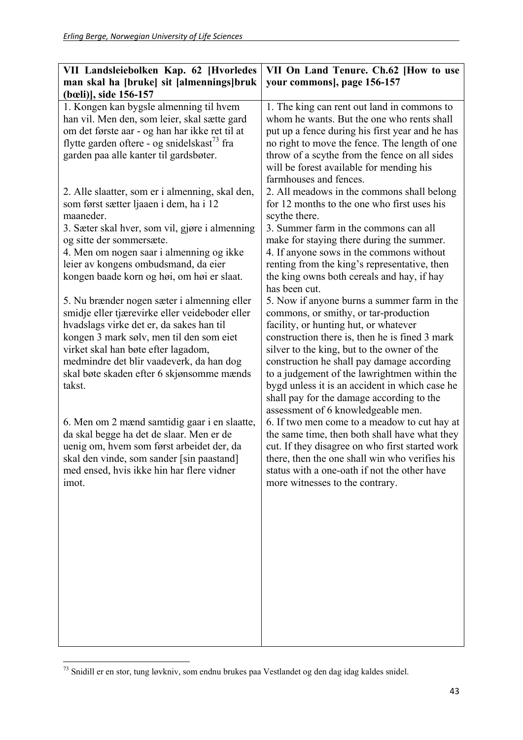| VII Landsleiebolken Kap. 62 [Hvorledes                  | VII On Land Tenure. Ch.62 [How to use                                                          |
|---------------------------------------------------------|------------------------------------------------------------------------------------------------|
| man skal ha [bruke] sit [almennings]bruk                | your commons], page 156-157                                                                    |
| (bœli)], side 156-157                                   |                                                                                                |
| 1. Kongen kan bygsle almenning til hvem                 | 1. The king can rent out land in commons to                                                    |
| han vil. Men den, som leier, skal sætte gard            | whom he wants. But the one who rents shall                                                     |
| om det første aar - og han har ikke ret til at          | put up a fence during his first year and he has                                                |
| flytte garden oftere - og snidelskast <sup>73</sup> fra | no right to move the fence. The length of one                                                  |
| garden paa alle kanter til gardsbøter.                  | throw of a scythe from the fence on all sides                                                  |
|                                                         | will be forest available for mending his                                                       |
|                                                         | farmhouses and fences.                                                                         |
| 2. Alle slaatter, som er i almenning, skal den,         | 2. All meadows in the commons shall belong                                                     |
| som først sætter ljaaen i dem, ha i 12                  | for 12 months to the one who first uses his                                                    |
| maaneder.                                               | scythe there.                                                                                  |
| 3. Sæter skal hver, som vil, gjøre i almenning          | 3. Summer farm in the commons can all                                                          |
| og sitte der sommersæte.                                | make for staying there during the summer.                                                      |
| 4. Men om nogen saar i almenning og ikke                | 4. If anyone sows in the commons without                                                       |
| leier av kongens ombudsmand, da eier                    | renting from the king's representative, then                                                   |
| kongen baade korn og høi, om høi er slaat.              | the king owns both cereals and hay, if hay                                                     |
|                                                         | has been cut.                                                                                  |
| 5. Nu brænder nogen sæter i almenning eller             | 5. Now if anyone burns a summer farm in the                                                    |
| smidje eller tjærevirke eller veideboder eller          | commons, or smithy, or tar-production                                                          |
| hvadslags virke det er, da sakes han til                | facility, or hunting hut, or whatever                                                          |
| kongen 3 mark sølv, men til den som eiet                | construction there is, then he is fined 3 mark                                                 |
| virket skal han bøte efter lagadom,                     | silver to the king, but to the owner of the                                                    |
| medmindre det blir vaadeverk, da han dog                | construction he shall pay damage according                                                     |
| skal bøte skaden efter 6 skjønsomme mænds<br>takst.     | to a judgement of the lawrightmen within the<br>bygd unless it is an accident in which case he |
|                                                         | shall pay for the damage according to the                                                      |
|                                                         | assessment of 6 knowledgeable men.                                                             |
| 6. Men om 2 mænd samtidig gaar i en slaatte,            | 6. If two men come to a meadow to cut hay at                                                   |
| da skal begge ha det de slaar. Men er de                | the same time, then both shall have what they                                                  |
| uenig om, hvem som først arbeidet der, da               | cut. If they disagree on who first started work                                                |
| skal den vinde, som sander [sin paastand]               | there, then the one shall win who verifies his                                                 |
| med ensed, hvis ikke hin har flere vidner               | status with a one-oath if not the other have                                                   |
| imot.                                                   | more witnesses to the contrary.                                                                |
|                                                         |                                                                                                |
|                                                         |                                                                                                |
|                                                         |                                                                                                |
|                                                         |                                                                                                |
|                                                         |                                                                                                |
|                                                         |                                                                                                |
|                                                         |                                                                                                |
|                                                         |                                                                                                |
|                                                         |                                                                                                |
|                                                         |                                                                                                |

  $73$  Snidill er en stor, tung løvkniv, som endnu brukes paa Vestlandet og den dag idag kaldes snidel.